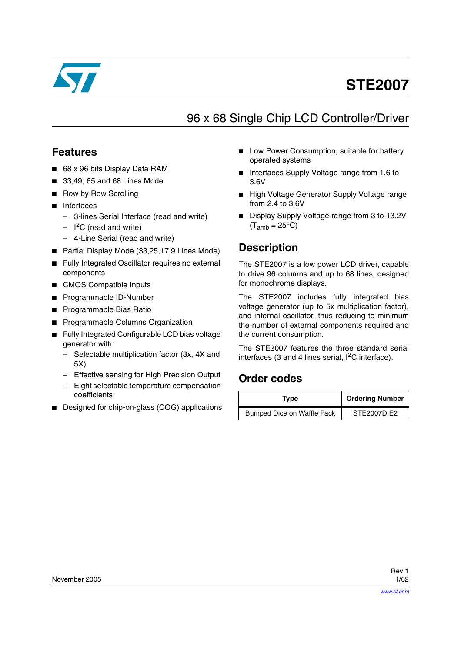

# **STE2007**

# 96 x 68 Single Chip LCD Controller/Driver

## **Features**

- 68 x 96 bits Display Data RAM
- 33,49, 65 and 68 Lines Mode
- **Row by Row Scrolling**
- Interfaces
	- 3-lines Serial Interface (read and write)
	- $-$  I<sup>2</sup>C (read and write)
	- 4-Line Serial (read and write)
- Partial Display Mode (33,25,17,9 Lines Mode)
- Fully Integrated Oscillator requires no external components
- CMOS Compatible Inputs
- Programmable ID-Number
- Programmable Bias Ratio
- **Programmable Columns Organization**
- Fully Integrated Configurable LCD bias voltage generator with:
	- Selectable multiplication factor (3x, 4X and 5X)
	- Effective sensing for High Precision Output
	- Eight selectable temperature compensation coefficients
- Designed for chip-on-glass (COG) applications
- Low Power Consumption, suitable for battery operated systems
- Interfaces Supply Voltage range from 1.6 to 3.6V
- High Voltage Generator Supply Voltage range from 2.4 to 3.6V
- Display Supply Voltage range from 3 to 13.2V  $(T<sub>amb</sub> = 25°C)$

## **Description**

The STE2007 is a low power LCD driver, capable to drive 96 columns and up to 68 lines, designed for monochrome displays.

The STE2007 includes fully integrated bias voltage generator (up to 5x multiplication factor), and internal oscillator, thus reducing to minimum the number of external components required and the current consumption.

The STE2007 features the three standard serial interfaces (3 and 4 lines serial,  $I^2C$  interface).

## **Order codes**

| Type                       | <b>Ordering Number</b> |  |
|----------------------------|------------------------|--|
| Bumped Dice on Waffle Pack | STE2007DIE2            |  |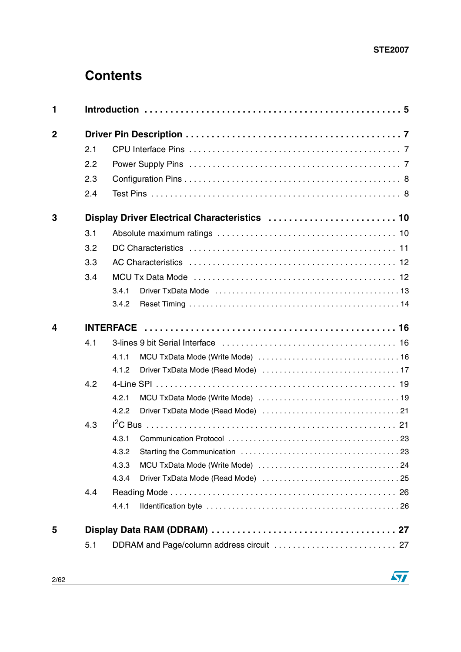# **Contents**

| 1              |     |                                               |  |  |  |  |  |  |
|----------------|-----|-----------------------------------------------|--|--|--|--|--|--|
| $\overline{2}$ |     |                                               |  |  |  |  |  |  |
|                | 2.1 |                                               |  |  |  |  |  |  |
|                | 2.2 |                                               |  |  |  |  |  |  |
|                | 2.3 |                                               |  |  |  |  |  |  |
|                | 2.4 |                                               |  |  |  |  |  |  |
| 3              |     | Display Driver Electrical Characteristics  10 |  |  |  |  |  |  |
|                | 3.1 |                                               |  |  |  |  |  |  |
|                | 3.2 |                                               |  |  |  |  |  |  |
|                | 3.3 |                                               |  |  |  |  |  |  |
|                | 3.4 |                                               |  |  |  |  |  |  |
|                |     | 3.4.1                                         |  |  |  |  |  |  |
|                |     | 3.4.2                                         |  |  |  |  |  |  |
| 4              |     |                                               |  |  |  |  |  |  |
|                | 4.1 |                                               |  |  |  |  |  |  |
|                |     | 4.1.1                                         |  |  |  |  |  |  |
|                |     | 4.1.2                                         |  |  |  |  |  |  |
|                | 4.2 |                                               |  |  |  |  |  |  |
|                |     | 4.2.1                                         |  |  |  |  |  |  |
|                |     | 4.2.2                                         |  |  |  |  |  |  |
|                | 4.3 |                                               |  |  |  |  |  |  |
|                |     | 4.3.1                                         |  |  |  |  |  |  |
|                |     | 4.3.2                                         |  |  |  |  |  |  |
|                |     | 4.3.3                                         |  |  |  |  |  |  |
|                |     | 4.3.4                                         |  |  |  |  |  |  |
|                | 4.4 |                                               |  |  |  |  |  |  |
|                |     | 4.4.1                                         |  |  |  |  |  |  |
| 5              |     |                                               |  |  |  |  |  |  |
|                | 5.1 |                                               |  |  |  |  |  |  |

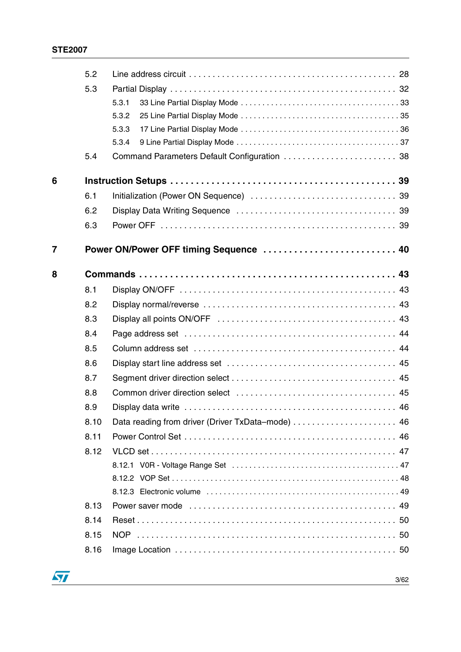|   | 5.2  |                                              |
|---|------|----------------------------------------------|
|   | 5.3  |                                              |
|   |      | 5.3.1                                        |
|   |      | 5.3.2                                        |
|   |      | 5.3.3                                        |
|   |      | 5.3.4                                        |
|   | 5.4  | Command Parameters Default Configuration  38 |
| 6 |      |                                              |
|   | 6.1  |                                              |
|   | 6.2  |                                              |
|   | 6.3  |                                              |
| 7 |      | Power ON/Power OFF timing Sequence  40       |
| 8 |      |                                              |
|   | 8.1  |                                              |
|   | 8.2  |                                              |
|   | 8.3  |                                              |
|   | 8.4  |                                              |
|   | 8.5  |                                              |
|   | 8.6  |                                              |
|   | 8.7  |                                              |
|   | 8.8  |                                              |
|   | 8.9  |                                              |
|   | 8.10 |                                              |
|   | 8.11 |                                              |
|   | 8.12 |                                              |
|   |      |                                              |
|   |      |                                              |
|   |      |                                              |
|   | 8.13 |                                              |
|   | 8.14 |                                              |
|   | 8.15 |                                              |
|   | 8.16 |                                              |

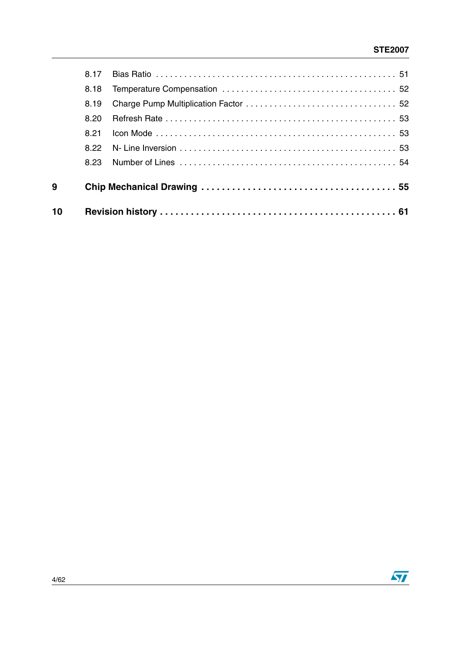| 9 |              |  |
|---|--------------|--|
|   |              |  |
|   | 8.22<br>8.23 |  |
|   | 8.21         |  |
|   | 8.20         |  |
|   | 8.19         |  |
|   | 8.18         |  |
|   | 8.17         |  |

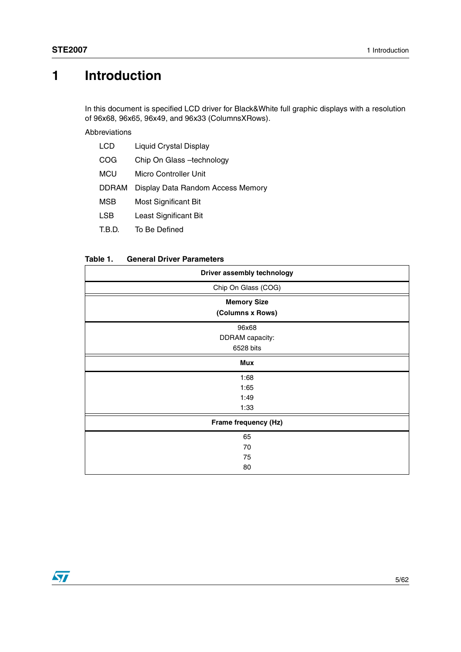# <span id="page-4-0"></span>**1 Introduction**

In this document is specified LCD driver for Black&White full graphic displays with a resolution of 96x68, 96x65, 96x49, and 96x33 (ColumnsXRows).

Abbreviations

| <b>LCD</b>   | Liquid Crystal Display            |
|--------------|-----------------------------------|
| COG          | Chip On Glass -technology         |
| <b>MCU</b>   | Micro Controller Unit             |
| <b>DDRAM</b> | Display Data Random Access Memory |
| MSB          | Most Significant Bit              |
| <b>LSB</b>   | Least Significant Bit             |
|              |                                   |

T.B.D. To Be Defined

#### **Table 1. General Driver Parameters**

| Driver assembly technology |
|----------------------------|
| Chip On Glass (COG)        |
| <b>Memory Size</b>         |
| (Columns x Rows)           |
| 96x68                      |
| DDRAM capacity:            |
| 6528 bits                  |
| <b>Mux</b>                 |
| 1:68                       |
| 1:65                       |
| 1:49                       |
| 1:33                       |
| Frame frequency (Hz)       |
| 65                         |
| 70                         |
| 75                         |
| 80                         |

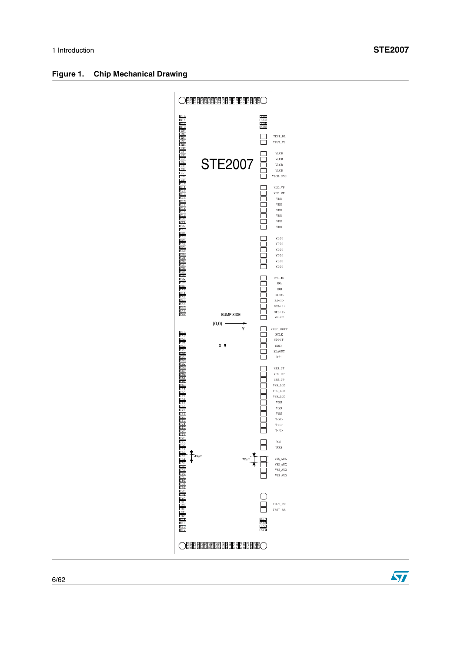$\sqrt{2}$ 



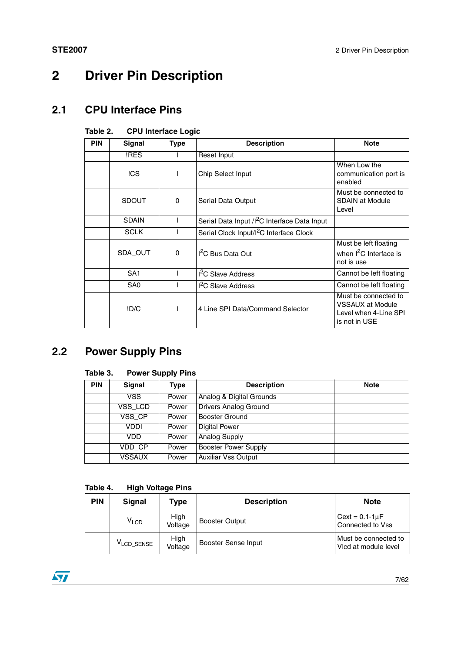# <span id="page-6-0"></span>**2 Driver Pin Description**

## <span id="page-6-1"></span>**2.1 CPU Interface Pins**

### **Table 2. CPU Interface Logic**

| <b>PIN</b> | Signal          | <b>Type</b> | <b>Description</b>                                        | <b>Note</b>                                                                               |
|------------|-----------------|-------------|-----------------------------------------------------------|-------------------------------------------------------------------------------------------|
|            | !RES            |             | Reset Input                                               |                                                                                           |
|            | !CS             |             | Chip Select Input                                         | When Low the<br>communication port is<br>enabled                                          |
|            | <b>SDOUT</b>    | $\Omega$    | Serial Data Output                                        | Must be connected to<br>SDAIN at Module<br>Level                                          |
|            | <b>SDAIN</b>    |             | Serial Data Input / I <sup>2</sup> C Interface Data Input |                                                                                           |
|            | <b>SCLK</b>     |             | Serial Clock Input/I <sup>2</sup> C Interface Clock       |                                                                                           |
|            | SDA_OUT         | $\Omega$    | <sup>12</sup> C Bus Data Out                              | Must be left floating<br>when I <sup>2</sup> C Interface is<br>not is use                 |
|            | SA <sub>1</sub> |             | I <sup>2</sup> C Slave Address                            | Cannot be left floating                                                                   |
|            | SA <sub>0</sub> |             | I <sup>2</sup> C Slave Address                            | Cannot be left floating                                                                   |
|            | !D/C            |             | 4 Line SPI Data/Command Selector                          | Must be connected to<br><b>VSSAUX at Module</b><br>Level when 4-Line SPI<br>is not in USE |

## <span id="page-6-2"></span>**2.2 Power Supply Pins**

### **Table 3. Power Supply Pins**

| <b>PIN</b> | Signal        | Type  | <b>Description</b>           | <b>Note</b> |
|------------|---------------|-------|------------------------------|-------------|
|            | VSS.          | Power | Analog & Digital Grounds     |             |
|            | VSS_LCD       | Power | <b>Drivers Analog Ground</b> |             |
|            | VSS_CP        | Power | <b>Booster Ground</b>        |             |
|            | VDDI          | Power | <b>Digital Power</b>         |             |
|            | VDD           | Power | <b>Analog Supply</b>         |             |
|            | VDD_CP        | Power | Booster Power Supply         |             |
|            | <b>VSSAUX</b> | Power | <b>Auxiliar Vss Output</b>   |             |

#### **Table 4. High Voltage Pins**

| <b>PIN</b> | Signal                 | Type            | <b>Description</b>  | <b>Note</b>                                  |
|------------|------------------------|-----------------|---------------------|----------------------------------------------|
|            | V <sub>LCD</sub>       | High<br>Voltage | Booster Output      | Cext = $0.1 - 1 \mu F$<br>Connected to Vss   |
|            | V <sub>LCD</sub> SENSE | High<br>Voltage | Booster Sense Input | Must be connected to<br>Vicd at module level |

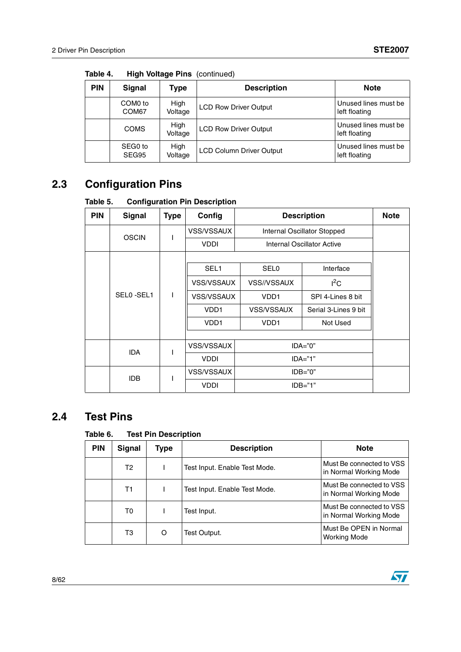| <b>PIN</b> | Signal                       | Type            | <b>Description</b>              | <b>Note</b>                           |
|------------|------------------------------|-----------------|---------------------------------|---------------------------------------|
|            | COM <sub>0</sub> to<br>COM67 | High<br>Voltage | <b>LCD Row Driver Output</b>    | Unused lines must be<br>left floating |
|            | <b>COMS</b>                  | High<br>Voltage | <b>LCD Row Driver Output</b>    | Unused lines must be<br>left floating |
|            | SEG0 to<br>SEG95             | High<br>Voltage | <b>LCD Column Driver Output</b> | Unused lines must be<br>left floating |

**Table 4. High Voltage Pins** (continued)

## <span id="page-7-0"></span>**2.3 Configuration Pins**

**Table 5. Configuration Pin Description**

| <b>PIN</b> | <b>Signal</b>     | <b>Type</b>  | Config            | <b>Description</b>          |                            | <b>Note</b>       |          |
|------------|-------------------|--------------|-------------------|-----------------------------|----------------------------|-------------------|----------|
|            | <b>OSCIN</b><br>ı |              | <b>VSS/VSSAUX</b> | Internal Oscillator Stopped |                            |                   |          |
|            |                   |              | <b>VDDI</b>       |                             | Internal Oscillator Active |                   |          |
|            |                   |              |                   |                             |                            |                   |          |
|            |                   |              | SEL <sub>1</sub>  | <b>SEL0</b>                 | Interface                  |                   |          |
|            |                   | $\mathsf{I}$ | <b>VSS/VSSAUX</b> | VSS//VSSAUX                 | $I^2C$                     |                   |          |
|            | SEL0-SEL1         |              | <b>VSS/VSSAUX</b> | VD <sub>D</sub> 1           | SPI 4-Lines 8 bit          |                   |          |
|            |                   |              | VDD <sub>1</sub>  | <b>VSS/VSSAUX</b>           | Serial 3-Lines 9 bit       |                   |          |
|            |                   |              |                   |                             | VDD <sub>1</sub>           | VD <sub>D</sub> 1 | Not Used |
|            |                   |              |                   |                             |                            |                   |          |
|            | <b>IDA</b>        | I            | <b>VSS/VSSAUX</b> |                             | $IDA="0"$                  |                   |          |
|            |                   |              | <b>VDDI</b>       | $IDA="1"$                   |                            |                   |          |
|            | IDB               |              | <b>VSS/VSSAUX</b> |                             | $IDB="0"$                  |                   |          |
|            |                   | ı            |                   | $IDB="1"$                   |                            |                   |          |

## <span id="page-7-1"></span>**2.4 Test Pins**

### **Table 6. Test Pin Description**

| <b>PIN</b> | <b>Signal</b> | Type | <b>Description</b>            | <b>Note</b>                                        |
|------------|---------------|------|-------------------------------|----------------------------------------------------|
|            | T2            |      | Test Input. Enable Test Mode. | Must Be connected to VSS<br>in Normal Working Mode |
|            | Τ1            |      | Test Input. Enable Test Mode. | Must Be connected to VSS<br>in Normal Working Mode |
|            | T0            |      | Test Input.                   | Must Be connected to VSS<br>in Normal Working Mode |
|            | ТЗ            | O    | Test Output.                  | Must Be OPEN in Normal<br><b>Working Mode</b>      |

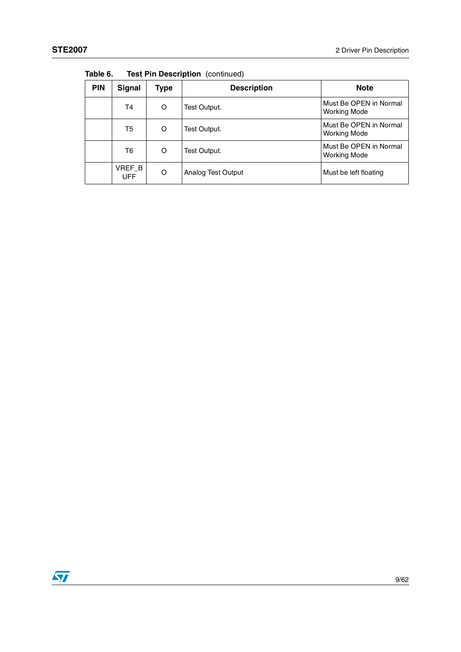| <b>PIN</b> | Signal               | Type | <b>Description</b> | <b>Note</b>                                   |  |  |  |
|------------|----------------------|------|--------------------|-----------------------------------------------|--|--|--|
|            | T <sub>4</sub>       | O    | Test Output.       | Must Be OPEN in Normal<br><b>Working Mode</b> |  |  |  |
|            | T5                   | O    | Test Output.       | Must Be OPEN in Normal<br><b>Working Mode</b> |  |  |  |
|            | T <sub>6</sub>       | O    | Test Output.       | Must Be OPEN in Normal<br><b>Working Mode</b> |  |  |  |
|            | VREF_B<br><b>UFF</b> | O    | Analog Test Output | Must be left floating                         |  |  |  |

**Table 6. Test Pin Description** (continued)

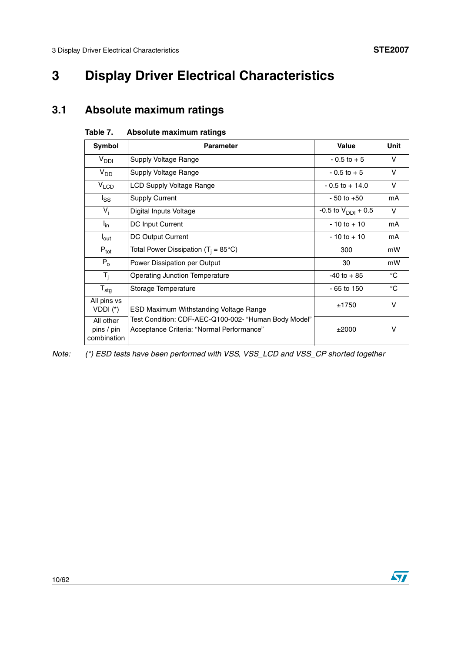$\sqrt{2}$ 

# <span id="page-9-0"></span>**3 Display Driver Electrical Characteristics**

## <span id="page-9-1"></span>**3.1 Absolute maximum ratings**

| Symbol                                 | <b>Parameter</b>                                                                                  | <b>Value</b>                   | Unit        |
|----------------------------------------|---------------------------------------------------------------------------------------------------|--------------------------------|-------------|
| $V_{DDI}$                              | Supply Voltage Range                                                                              | $-0.5$ to $+5$                 | v           |
| $V_{DD}$                               | Supply Voltage Range                                                                              | $-0.5$ to $+5$                 | v           |
| V <sub>LCD</sub>                       | LCD Supply Voltage Range                                                                          | $-0.5$ to $+14.0$              | v           |
| $I_{SS}$                               | <b>Supply Current</b>                                                                             | $-50$ to $+50$                 | mA          |
| $V_i$                                  | Digital Inputs Voltage                                                                            | -0.5 to $V_{\text{DDI}} + 0.5$ | v           |
| $I_{in}$                               | DC Input Current                                                                                  | $-10$ to $+10$                 | mA          |
| $I_{\text{out}}$                       | DC Output Current                                                                                 | $-10$ to $+10$                 | mA          |
| $P_{\text{tot}}$                       | Total Power Dissipation (T <sub>i</sub> = 85°C)                                                   | 300                            | mW          |
| $P_0$                                  | Power Dissipation per Output                                                                      | 30                             | mW          |
| $T_i$                                  | <b>Operating Junction Temperature</b>                                                             | $-40$ to $+85$                 | °C          |
| $T_{\text{stg}}$                       | Storage Temperature                                                                               | $-65$ to 150                   | $^{\circ}C$ |
| All pins vs<br>VDDI $(*)$              | ESD Maximum Withstanding Voltage Range                                                            | ±1750                          | v           |
| All other<br>pins / pin<br>combination | Test Condition: CDF-AEC-Q100-002- "Human Body Model"<br>Acceptance Criteria: "Normal Performance" | ±2000                          | v           |

### **Table 7. Absolute maximum ratings**

Note: (\*) ESD tests have been performed with VSS, VSS\_LCD and VSS\_CP shorted together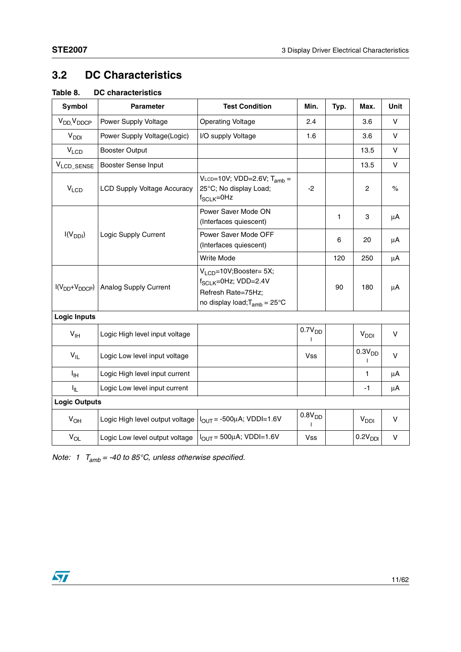## <span id="page-10-0"></span>**3.2 DC Characteristics**

| Table 8. | DC characteristics |
|----------|--------------------|
|----------|--------------------|

| Symbol                            | <b>Test Condition</b><br><b>Parameter</b> |                                                                                                                        | Min.               | Typ. | Max.                | Unit    |
|-----------------------------------|-------------------------------------------|------------------------------------------------------------------------------------------------------------------------|--------------------|------|---------------------|---------|
| V <sub>DD</sub> V <sub>DDCP</sub> | Power Supply Voltage                      | <b>Operating Voltage</b>                                                                                               | 2.4                |      | 3.6                 | $\vee$  |
| V <sub>DDI</sub>                  | Power Supply Voltage(Logic)               | I/O supply Voltage                                                                                                     | 1.6                |      | 3.6                 | $\vee$  |
| $V_{LCD}$                         | <b>Booster Output</b>                     |                                                                                                                        |                    |      | 13.5                | $\vee$  |
| VLCD_SENSE                        | Booster Sense Input                       |                                                                                                                        |                    |      | 13.5                | $\vee$  |
| V <sub>LCD</sub>                  | <b>LCD Supply Voltage Accuracy</b>        | $V_{LCD}=10V$ ; VDD=2.6V; T <sub>amb</sub> =<br>25°C; No display Load;<br>$f_{SCLK} = 0$ Hz                            | $-2$               |      | $\overline{c}$      | $\%$    |
|                                   |                                           | Power Saver Mode ON<br>(Interfaces quiescent)                                                                          |                    | 1    | 3                   | μA      |
| $I(V_{DDI})$                      | Logic Supply Current                      | Power Saver Mode OFF<br>(Interfaces quiescent)                                                                         |                    | 6    | 20                  | μA      |
|                                   |                                           | Write Mode                                                                                                             |                    | 120  | 250                 | μA      |
| $I(V_{DD}+V_{DDCP})$              | Analog Supply Current                     | $VLCD=10V;Booster= 5X;$<br>f <sub>SCLK</sub> =0Hz; VDD=2.4V<br>Refresh Rate=75Hz;<br>no display load; $T_{amb}$ = 25°C |                    | 90   | 180                 | μA      |
| <b>Logic Inputs</b>               |                                           |                                                                                                                        |                    |      |                     |         |
| $V_{\text{IH}}$                   | Logic High level input voltage            |                                                                                                                        | 0.7V <sub>DD</sub> |      | V <sub>DDI</sub>    | $\vee$  |
| $V_{IL}$                          | Logic Low level input voltage             |                                                                                                                        | <b>Vss</b>         |      | 0.3V <sub>DD</sub>  | $\vee$  |
| Iн                                | Logic High level input current            |                                                                                                                        |                    |      | 1                   | $\mu$ A |
| I <sub>IL</sub>                   | Logic Low level input current             |                                                                                                                        |                    |      | $-1$                | μA      |
| <b>Logic Outputs</b>              |                                           |                                                                                                                        |                    |      |                     |         |
| $V_{OH}$                          | Logic High level output voltage           | $I_{OUT}$ = -500µA; VDDI=1.6V                                                                                          | 0.8V <sub>DD</sub> |      | V <sub>DDI</sub>    | $\vee$  |
| $V_{OL}$                          | Logic Low level output voltage            | $I_{OUT}$ = 500µA; VDDI=1.6V                                                                                           | Vss                |      | 0.2V <sub>DDI</sub> | V       |

Note: 1  $T_{amb}$  = -40 to 85°C, unless otherwise specified.

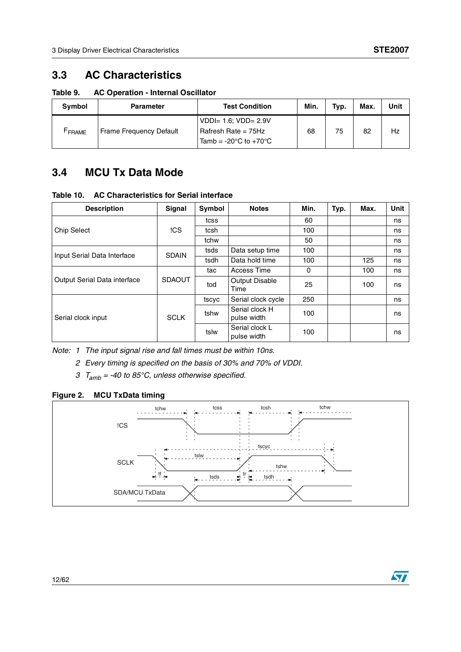## <span id="page-11-0"></span>**3.3 AC Characteristics**

**Table 9. AC Operation - Internal Oscillator**

| <b>Symbol</b>     | <b>Parameter</b>               | <b>Test Condition</b>                                                                            | Min. | Typ. | Max. | Unit |
|-------------------|--------------------------------|--------------------------------------------------------------------------------------------------|------|------|------|------|
| FRAME <sup></sup> | <b>Frame Frequency Default</b> | $VDD = 1.6$ ; $VDD = 2.9V$<br>Rafresh Rate = $75Hz$<br>Tamb = $-20^{\circ}$ C to $+70^{\circ}$ C | 68   | 75   | 82   | Hz   |

## <span id="page-11-1"></span>**3.4 MCU Tx Data Mode**

**Table 10. AC Characteristics for Serial interface**

| <b>Description</b>           | <b>Signal</b> | Symbol | <b>Notes</b>                  | Min. | Typ. | Max. | <b>Unit</b> |
|------------------------------|---------------|--------|-------------------------------|------|------|------|-------------|
|                              |               | tcss   |                               | 60   |      |      | ns          |
| <b>Chip Select</b>           | !CS           | tcsh   |                               | 100  |      |      | ns          |
|                              |               | tchw   |                               | 50   |      |      | ns          |
| Input Serial Data Interface  | <b>SDAIN</b>  | tsds   | Data setup time               | 100  |      |      | ns          |
|                              |               | tsdh   | Data hold time                | 100  |      | 125  | ns          |
|                              |               | tac    | <b>Access Time</b>            | 0    |      | 100  | ns          |
| Output Serial Data interface | <b>SDAOUT</b> | tod    | Output Disable<br>Time        | 25   |      | 100  | ns          |
|                              |               | tscyc  | Serial clock cycle            | 250  |      |      | ns          |
| Serial clock input           | <b>SCLK</b>   | tshw   | Serial clock H<br>pulse width | 100  |      |      | ns          |
|                              |               | tslw   | Serial clock L<br>pulse width | 100  |      |      | ns          |

Note: 1 The input signal rise and fall times must be within 10ns.

2 Every timing is specified on the basis of 30% and 70% of VDDI.

3  $T_{amb}$  = -40 to 85°C, unless otherwise specified.

### **Figure 2. MCU TxData timing**



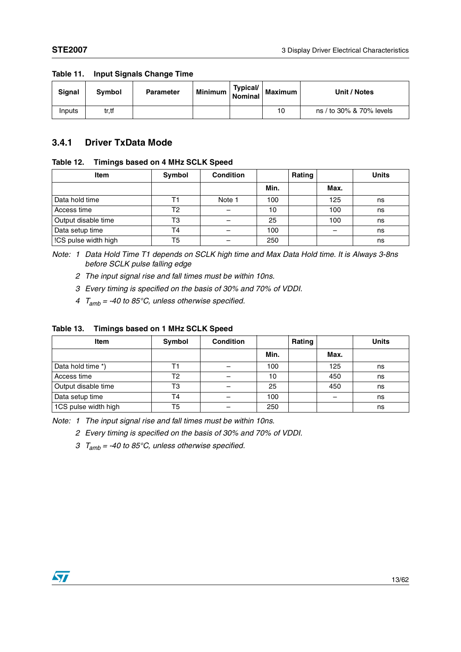| Signal | Symbol | <b>Parameter</b> | Minimum   Typical/ | Maximum | Unit / Notes             |
|--------|--------|------------------|--------------------|---------|--------------------------|
| Inputs | tr.tf  |                  |                    | 10      | ns / to 30% & 70% levels |

#### **Table 11. Input Signals Change Time**

### <span id="page-12-0"></span>**3.4.1 Driver TxData Mode**

#### **Table 12. Timings based on 4 MHz SCLK Speed**

| Item                 | Symbol         | Condition |      | Rating |      | <b>Units</b> |
|----------------------|----------------|-----------|------|--------|------|--------------|
|                      |                |           | Min. |        | Max. |              |
| Data hold time       |                | Note 1    | 100  |        | 125  | ns           |
| Access time          | T2             |           | 10   |        | 100  | ns           |
| Output disable time  | T3             |           | 25   |        | 100  | ns           |
| Data setup time      | T <sub>4</sub> |           | 100  |        |      | ns           |
| !CS pulse width high | T5             |           | 250  |        |      | ns           |

Note: 1 Data Hold Time T1 depends on SCLK high time and Max Data Hold time. It is Always 3-8ns before SCLK pulse falling edge

- 2 The input signal rise and fall times must be within 10ns.
- 3 Every timing is specified on the basis of 30% and 70% of VDDI.
- 4  $T_{amb}$  = -40 to 85°C, unless otherwise specified.

#### **Table 13. Timings based on 1 MHz SCLK Speed**

| Item                 | Symbol         | <b>Condition</b> |      | Rating |      | <b>Units</b> |
|----------------------|----------------|------------------|------|--------|------|--------------|
|                      |                |                  | Min. |        | Max. |              |
| Data hold time *)    |                |                  | 100  |        | 125  | ns           |
| Access time          | T2             |                  | 10   |        | 450  | ns           |
| Output disable time  | T3             |                  | 25   |        | 450  | ns           |
| Data setup time      | T <sub>4</sub> |                  | 100  |        |      | ns           |
| 1CS pulse width high | T5             |                  | 250  |        |      | ns           |

Note: 1 The input signal rise and fall times must be within 10ns.

2 Every timing is specified on the basis of 30% and 70% of VDDI.

3  $T_{amb}$  = -40 to 85°C, unless otherwise specified.

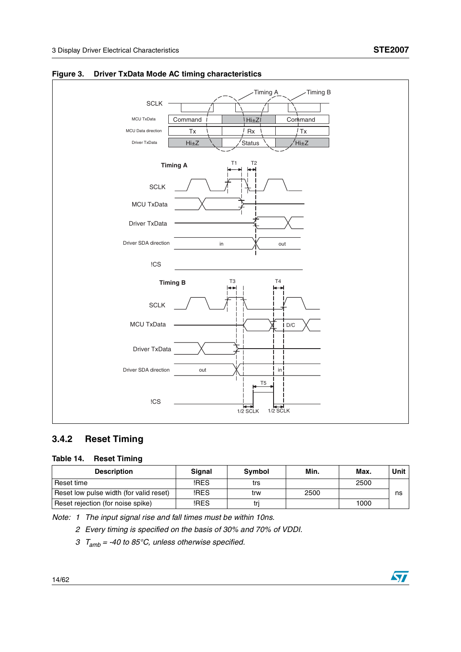

#### **Figure 3. Driver TxData Mode AC timing characteristics**

## <span id="page-13-0"></span>**3.4.2 Reset Timing**

#### **Table 14. Reset Timing**

| <b>Description</b>                      | <b>Signal</b> | <b>Symbol</b> | Min. | Max. | Unit |
|-----------------------------------------|---------------|---------------|------|------|------|
| Reset time                              | !RES          | trs           |      | 2500 |      |
| Reset low pulse width (for valid reset) | !RES          | trw           | 2500 |      | ns   |
| Reset rejection (for noise spike)       | !RES          |               |      | 1000 |      |

Note: 1 The input signal rise and fall times must be within 10ns.

2 Every timing is specified on the basis of 30% and 70% of VDDI.

3  $T_{amb}$  = -40 to 85°C, unless otherwise specified.

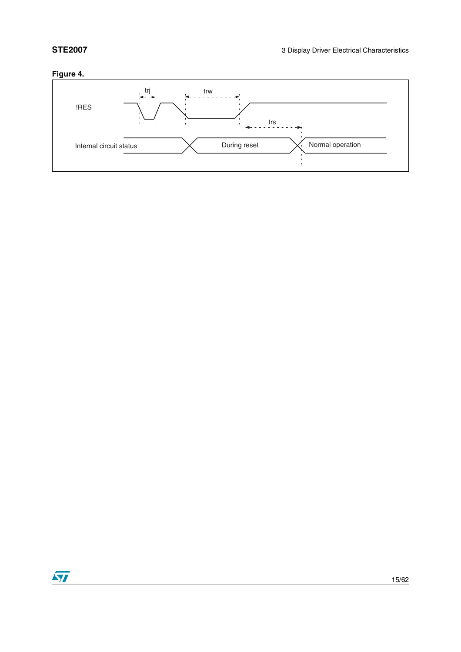## **Figure 4.**



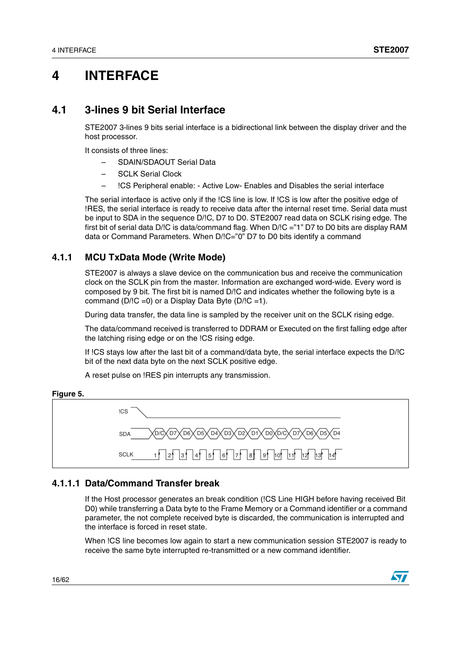## <span id="page-15-0"></span>**4 INTERFACE**

## <span id="page-15-1"></span>**4.1 3-lines 9 bit Serial Interface**

STE2007 3-lines 9 bits serial interface is a bidirectional link between the display driver and the host processor.

It consists of three lines:

- SDAIN/SDAOUT Serial Data
- SCLK Serial Clock
- !CS Peripheral enable: Active Low- Enables and Disables the serial interface

The serial interface is active only if the !CS line is low. If !CS is low after the positive edge of !RES, the serial interface is ready to receive data after the internal reset time. Serial data must be input to SDA in the sequence D/!C, D7 to D0. STE2007 read data on SCLK rising edge. The first bit of serial data D/IC is data/command flag. When D/IC ="1" D7 to D0 bits are display RAM data or Command Parameters. When D/!C="0" D7 to D0 bits identify a command

### <span id="page-15-2"></span>**4.1.1 MCU TxData Mode (Write Mode)**

STE2007 is always a slave device on the communication bus and receive the communication clock on the SCLK pin from the master. Information are exchanged word-wide. Every word is composed by 9 bit. The first bit is named D/!C and indicates whether the following byte is a command  $(D/IC = 0)$  or a Display Data Byte  $(D/IC = 1)$ .

During data transfer, the data line is sampled by the receiver unit on the SCLK rising edge.

The data/command received is transferred to DDRAM or Executed on the first falling edge after the latching rising edge or on the !CS rising edge.

If !CS stays low after the last bit of a command/data byte, the serial interface expects the D/!C bit of the next data byte on the next SCLK positive edge.

A reset pulse on !RES pin interrupts any transmission.





### **4.1.1.1 Data/Command Transfer break**

If the Host processor generates an break condition (!CS Line HIGH before having received Bit D0) while transferring a Data byte to the Frame Memory or a Command identifier or a command parameter, the not complete received byte is discarded, the communication is interrupted and the interface is forced in reset state.

When !CS line becomes low again to start a new communication session STE2007 is ready to receive the same byte interrupted re-transmitted or a new command identifier.

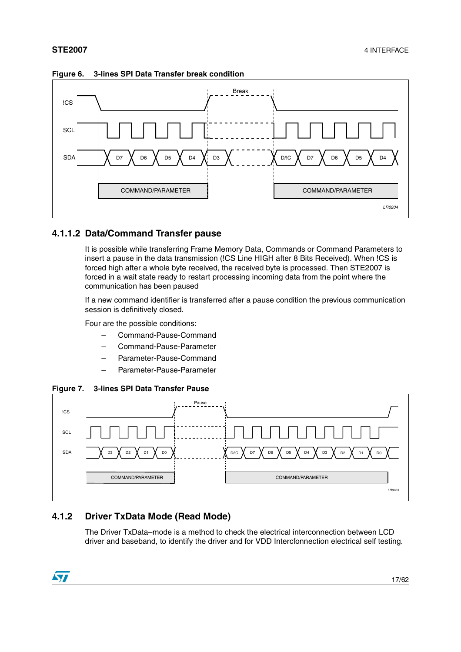

**Figure 6. 3-lines SPI Data Transfer break condition**

### **4.1.1.2 Data/Command Transfer pause**

It is possible while transferring Frame Memory Data, Commands or Command Parameters to insert a pause in the data transmission (!CS Line HIGH after 8 Bits Received). When !CS is forced high after a whole byte received, the received byte is processed. Then STE2007 is forced in a wait state ready to restart processing incoming data from the point where the communication has been paused

If a new command identifier is transferred after a pause condition the previous communication session is definitively closed.

Four are the possible conditions:

- Command-Pause-Command
- Command-Pause-Parameter
- Parameter-Pause-Command
- Parameter-Pause-Parameter

**Figure 7. 3-lines SPI Data Transfer Pause**



### <span id="page-16-0"></span>**4.1.2 Driver TxData Mode (Read Mode)**

The Driver TxData–mode is a method to check the electrical interconnection between LCD driver and baseband, to identify the driver and for VDD Intercfonnection electrical self testing.

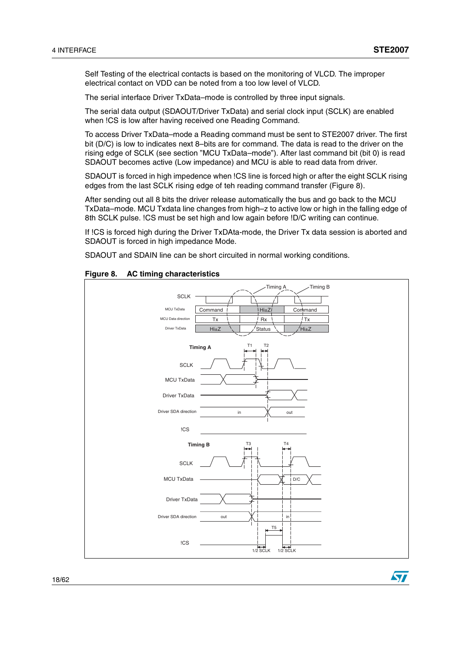ST

Self Testing of the electrical contacts is based on the monitoring of VLCD. The improper electrical contact on VDD can be noted from a too low level of VLCD.

The serial interface Driver TxData–mode is controlled by three input signals.

The serial data output (SDAOUT/Driver TxData) and serial clock input (SCLK) are enabled when !CS is low after having received one Reading Command.

To access Driver TxData–mode a Reading command must be sent to STE2007 driver. The first bit (D/C) is low to indicates next 8–bits are for command. The data is read to the driver on the rising edge of SCLK (see section "MCU TxData–mode"). After last command bit (bit 0) is read SDAOUT becomes active (Low impedance) and MCU is able to read data from driver.

SDAOUT is forced in high impedence when !CS line is forced high or after the eight SCLK rising edges from the last SCLK rising edge of teh reading command transfer (Figure 8).

After sending out all 8 bits the driver release automatically the bus and go back to the MCU TxData–mode. MCU Txdata line changes from high–z to active low or high in the falling edge of 8th SCLK pulse. !CS must be set high and low again before !D/C writing can continue.

If !CS is forced high during the Driver TxDAta-mode, the Driver Tx data session is aborted and SDAOUT is forced in high impedance Mode.

SDAOUT and SDAIN line can be short circuited in normal working conditions.

#### **Figure 8. AC timing characteristics**

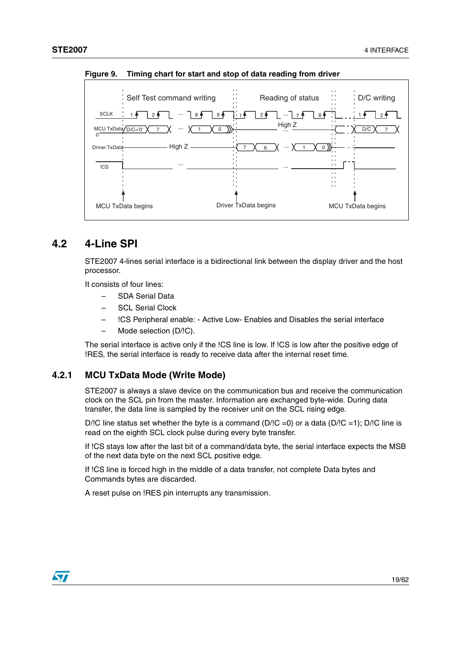

**Figure 9. Timing chart for start and stop of data reading from driver**

## <span id="page-18-0"></span>**4.2 4-Line SPI**

STE2007 4-lines serial interface is a bidirectional link between the display driver and the host processor.

It consists of four lines:

- SDA Serial Data
- **SCL Serial Clock**
- !CS Peripheral enable: Active Low- Enables and Disables the serial interface
- Mode selection (D/!C).

The serial interface is active only if the !CS line is low. If !CS is low after the positive edge of !RES, the serial interface is ready to receive data after the internal reset time.

### <span id="page-18-1"></span>**4.2.1 MCU TxData Mode (Write Mode)**

STE2007 is always a slave device on the communication bus and receive the communication clock on the SCL pin from the master. Information are exchanged byte-wide. During data transfer, the data line is sampled by the receiver unit on the SCL rising edge.

D/!C line status set whether the byte is a command (D/!C =0) or a data (D/!C =1); D/!C line is read on the eighth SCL clock pulse during every byte transfer.

If !CS stays low after the last bit of a command/data byte, the serial interface expects the MSB of the next data byte on the next SCL positive edge.

If !CS line is forced high in the middle of a data transfer, not complete Data bytes and Commands bytes are discarded.

A reset pulse on !RES pin interrupts any transmission.

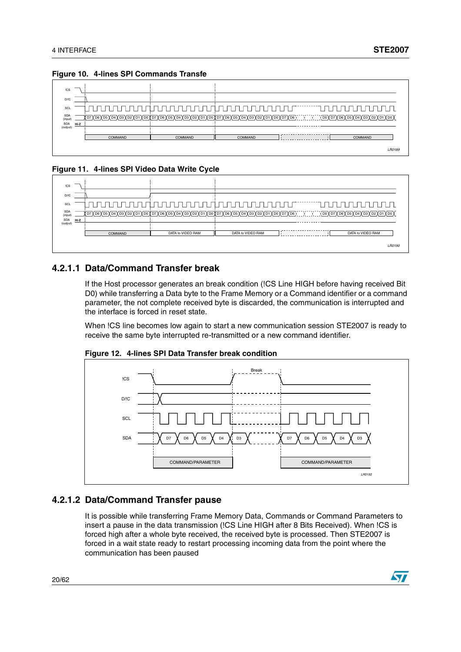| !CS                    |      |         |                                                                                                                                     |         |               |
|------------------------|------|---------|-------------------------------------------------------------------------------------------------------------------------------------|---------|---------------|
| D/IC                   |      |         |                                                                                                                                     |         |               |
| SCL                    |      |         |                                                                                                                                     |         |               |
| <b>SDA</b><br>(input)  |      |         | <u>; p7Xp6Xp5Xp4Xp3Xp2Xp1Xp0Xp7Xp6Xp5Xp4Xp3Xp2Xp1Xp0Xp7Xp6Xp5Xp4Xp3Xp2Xp1Xp0Xp7Xp6X;;;;;;;;;;;;;;;;xp0Xp7Xp6Xp5Xp4Xp3Xp2Xp1Xp0X</u> |         |               |
| <b>SDA</b><br>(output) | Hi-Z |         |                                                                                                                                     |         |               |
|                        |      | COMMAND | COMMAND                                                                                                                             | COMMAND | COMMAND       |
|                        |      |         |                                                                                                                                     |         | <b>LB0189</b> |

**Figure 10. 4-lines SPI Commands Transfe**

#### **Figure 11. 4-lines SPI Video Data Write Cycle**



### **4.2.1.1 Data/Command Transfer break**

If the Host processor generates an break condition (!CS Line HIGH before having received Bit D0) while transferring a Data byte to the Frame Memory or a Command identifier or a command parameter, the not complete received byte is discarded, the communication is interrupted and the interface is forced in reset state.

When !CS line becomes low again to start a new communication session STE2007 is ready to receive the same byte interrupted re-transmitted or a new command identifier.



**Figure 12. 4-lines SPI Data Transfer break condition**

### **4.2.1.2 Data/Command Transfer pause**

It is possible while transferring Frame Memory Data, Commands or Command Parameters to insert a pause in the data transmission (!CS Line HIGH after 8 Bits Received). When !CS is forced high after a whole byte received, the received byte is processed. Then STE2007 is forced in a wait state ready to restart processing incoming data from the point where the communication has been paused

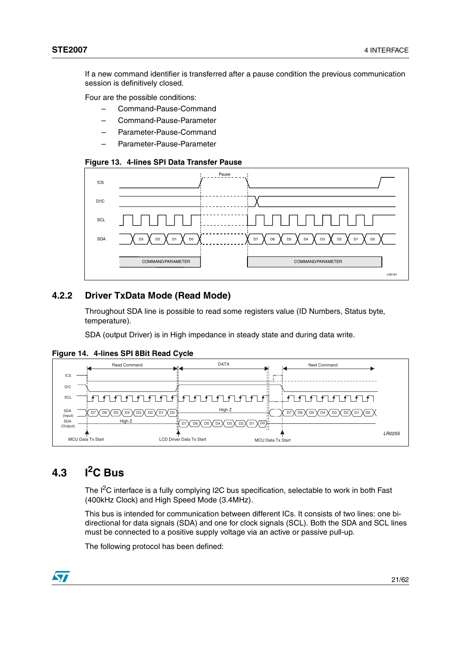If a new command identifier is transferred after a pause condition the previous communication session is definitively closed.

Four are the possible conditions:

- Command-Pause-Command
- Command-Pause-Parameter
- Parameter-Pause-Command
- Parameter-Pause-Parameter

#### **Figure 13. 4-lines SPI Data Transfer Pause**



### <span id="page-20-0"></span>**4.2.2 Driver TxData Mode (Read Mode)**

Throughout SDA line is possible to read some registers value (ID Numbers, Status byte, temperature).

SDA (output Driver) is in High impedance in steady state and during data write.

**Figure 14. 4-lines SPI 8Bit Read Cycle**



## <span id="page-20-1"></span>**4.3 I2C Bus**

The I<sup>2</sup>C interface is a fully complying I2C bus specification, selectable to work in both Fast (400kHz Clock) and High Speed Mode (3.4MHz).

This bus is intended for communication between different ICs. It consists of two lines: one bidirectional for data signals (SDA) and one for clock signals (SCL). Both the SDA and SCL lines must be connected to a positive supply voltage via an active or passive pull-up.

The following protocol has been defined:

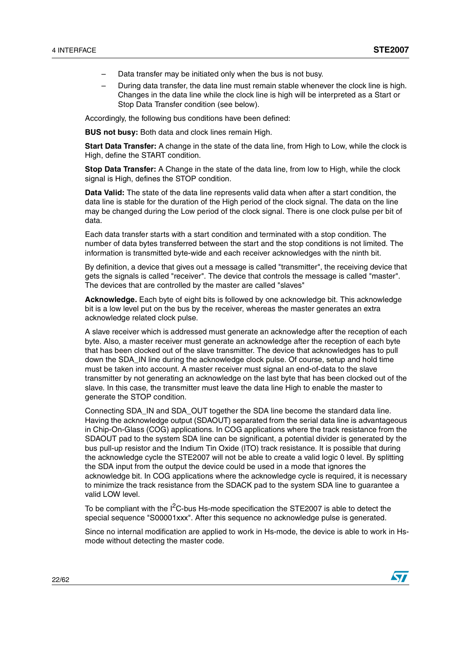- Data transfer may be initiated only when the bus is not busy.
- During data transfer, the data line must remain stable whenever the clock line is high. Changes in the data line while the clock line is high will be interpreted as a Start or Stop Data Transfer condition (see below).

Accordingly, the following bus conditions have been defined:

**BUS not busy:** Both data and clock lines remain High.

**Start Data Transfer:** A change in the state of the data line, from High to Low, while the clock is High, define the START condition.

**Stop Data Transfer:** A Change in the state of the data line, from low to High, while the clock signal is High, defines the STOP condition.

**Data Valid:** The state of the data line represents valid data when after a start condition, the data line is stable for the duration of the High period of the clock signal. The data on the line may be changed during the Low period of the clock signal. There is one clock pulse per bit of data.

Each data transfer starts with a start condition and terminated with a stop condition. The number of data bytes transferred between the start and the stop conditions is not limited. The information is transmitted byte-wide and each receiver acknowledges with the ninth bit.

By definition, a device that gives out a message is called "transmitter", the receiving device that gets the signals is called "receiver". The device that controls the message is called "master". The devices that are controlled by the master are called "slaves"

**Acknowledge.** Each byte of eight bits is followed by one acknowledge bit. This acknowledge bit is a low level put on the bus by the receiver, whereas the master generates an extra acknowledge related clock pulse.

A slave receiver which is addressed must generate an acknowledge after the reception of each byte. Also, a master receiver must generate an acknowledge after the reception of each byte that has been clocked out of the slave transmitter. The device that acknowledges has to pull down the SDA\_IN line during the acknowledge clock pulse. Of course, setup and hold time must be taken into account. A master receiver must signal an end-of-data to the slave transmitter by not generating an acknowledge on the last byte that has been clocked out of the slave. In this case, the transmitter must leave the data line High to enable the master to generate the STOP condition.

Connecting SDA\_IN and SDA\_OUT together the SDA line become the standard data line. Having the acknowledge output (SDAOUT) separated from the serial data line is advantageous in Chip-On-Glass (COG) applications. In COG applications where the track resistance from the SDAOUT pad to the system SDA line can be significant, a potential divider is generated by the bus pull-up resistor and the Indium Tin Oxide (ITO) track resistance. It is possible that during the acknowledge cycle the STE2007 will not be able to create a valid logic 0 level. By splitting the SDA input from the output the device could be used in a mode that ignores the acknowledge bit. In COG applications where the acknowledge cycle is required, it is necessary to minimize the track resistance from the SDACK pad to the system SDA line to guarantee a valid LOW level.

To be compliant with the  $1<sup>2</sup>C$ -bus Hs-mode specification the STE2007 is able to detect the special sequence "S00001xxx". After this sequence no acknowledge pulse is generated.

Since no internal modification are applied to work in Hs-mode, the device is able to work in Hsmode without detecting the master code.

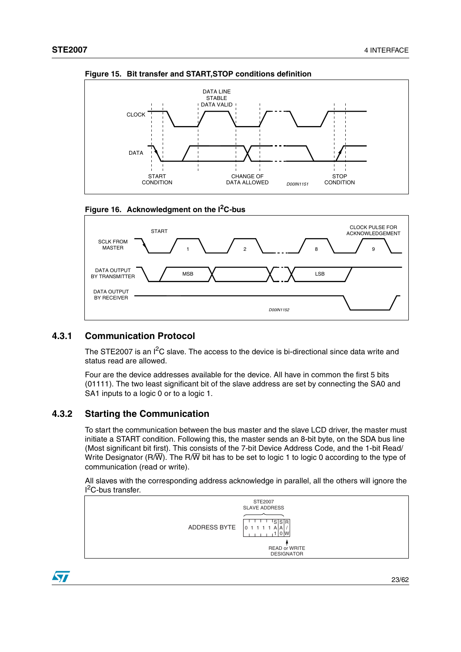







### <span id="page-22-0"></span>**4.3.1 Communication Protocol**

The STE2007 is an  $I^2C$  slave. The access to the device is bi-directional since data write and status read are allowed.

Four are the device addresses available for the device. All have in common the first 5 bits (01111). The two least significant bit of the slave address are set by connecting the SA0 and SA1 inputs to a logic 0 or to a logic 1.

### <span id="page-22-1"></span>**4.3.2 Starting the Communication**

To start the communication between the bus master and the slave LCD driver, the master must initiate a START condition. Following this, the master sends an 8-bit byte, on the SDA bus line (Most significant bit first). This consists of the 7-bit Device Address Code, and the 1-bit Read/ Write Designator (R/W). The R/W bit has to be set to logic 1 to logic 0 according to the type of communication (read or write).

All slaves with the corresponding address acknowledge in parallel, all the others will ignore the <sup>2</sup>C-bus transfer.



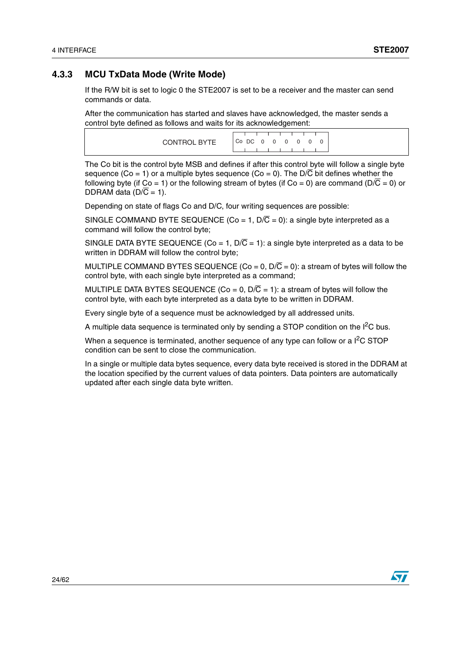### <span id="page-23-0"></span>**4.3.3 MCU TxData Mode (Write Mode)**

If the R/W bit is set to logic 0 the STE2007 is set to be a receiver and the master can send commands or data.

After the communication has started and slaves have acknowledged, the master sends a control byte defined as follows and waits for its acknowledgement:

|              | <u> La Carlo de la Carlo de la Carlo de la Carlo de la Carlo de la Carlo de la Carlo de la Carlo de la Carlo de l</u> |
|--------------|-----------------------------------------------------------------------------------------------------------------------|
| CONTROL BYTE | $ $ CoDC 0 0 0 0 0 0 $ $                                                                                              |
|              |                                                                                                                       |

The Co bit is the control byte MSB and defines if after this control byte will follow a single byte sequence (Co = 1) or a multiple bytes sequence (Co = 0). The  $D/\overline{C}$  bit defines whether the following byte (if Co = 1) or the following stream of bytes (if Co = 0) are command ( $D/\overline{C}$  = 0) or DDRAM data ( $D/\overline{C} = 1$ ).

Depending on state of flags Co and D/C, four writing sequences are possible:

SINGLE COMMAND BYTE SEQUENCE (Co = 1,  $D/\overline{C}$  = 0): a single byte interpreted as a command will follow the control byte;

SINGLE DATA BYTE SEQUENCE (Co = 1,  $D/\overline{C}$  = 1): a single byte interpreted as a data to be written in DDRAM will follow the control byte;

MULTIPLE COMMAND BYTES SEQUENCE (Co = 0,  $D/\overline{C}$  = 0): a stream of bytes will follow the control byte, with each single byte interpreted as a command;

MULTIPLE DATA BYTES SEQUENCE (Co = 0,  $D/\overline{C}$  = 1): a stream of bytes will follow the control byte, with each byte interpreted as a data byte to be written in DDRAM.

Every single byte of a sequence must be acknowledged by all addressed units.

A multiple data sequence is terminated only by sending a STOP condition on the  $I^2C$  bus.

When a sequence is terminated, another sequence of any type can follow or a  $I<sup>2</sup>C STOP$ condition can be sent to close the communication.

In a single or multiple data bytes sequence, every data byte received is stored in the DDRAM at the location specified by the current values of data pointers. Data pointers are automatically updated after each single data byte written.

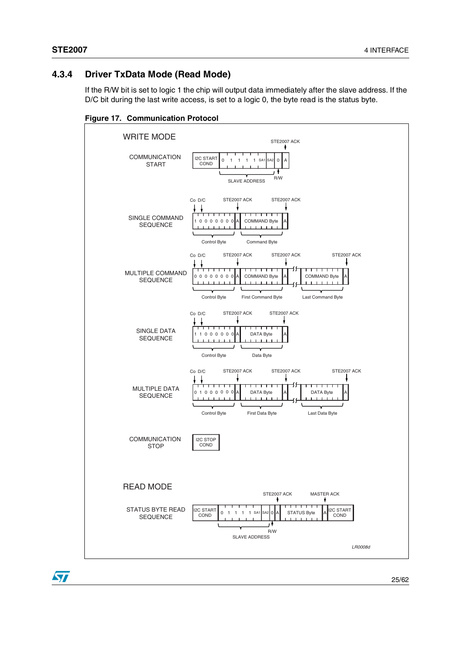## <span id="page-24-0"></span>**4.3.4 Driver TxData Mode (Read Mode)**

If the R/W bit is set to logic 1 the chip will output data immediately after the slave address. If the D/C bit during the last write access, is set to a logic 0, the byte read is the status byte.



**Figure 17. Communication Protocol**

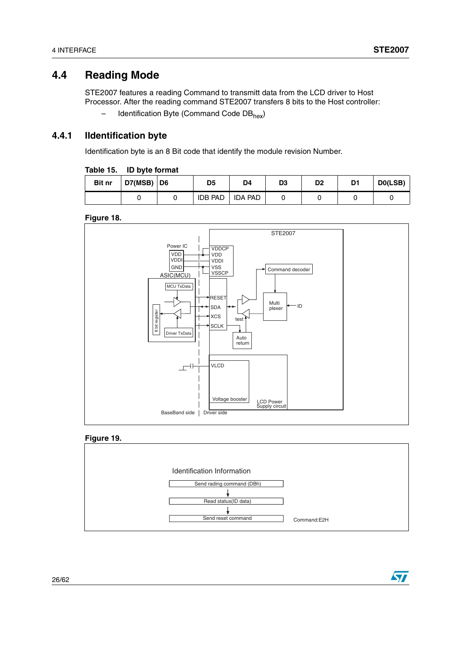## <span id="page-25-0"></span>**4.4 Reading Mode**

STE2007 features a reading Command to transmitt data from the LCD driver to Host Processor. After the reading command STE2007 transfers 8 bits to the Host controller:

Identification Byte (Command Code DB<sub>hex</sub>)

### <span id="page-25-1"></span>**4.4.1 IIdentification byte**

Identification byte is an 8 Bit code that identify the module revision Number.

| Table 15. |  |  | ID byte format |  |
|-----------|--|--|----------------|--|
|-----------|--|--|----------------|--|

| <b>Bit nr</b> | $D7(MSB)$ D6 | D5             | D4        | D <sub>3</sub> | D <sub>2</sub> | D1 | DO(LSB) |
|---------------|--------------|----------------|-----------|----------------|----------------|----|---------|
|               |              | <b>IDB PAD</b> | I IDA PAD |                |                |    |         |

**Figure 18.**







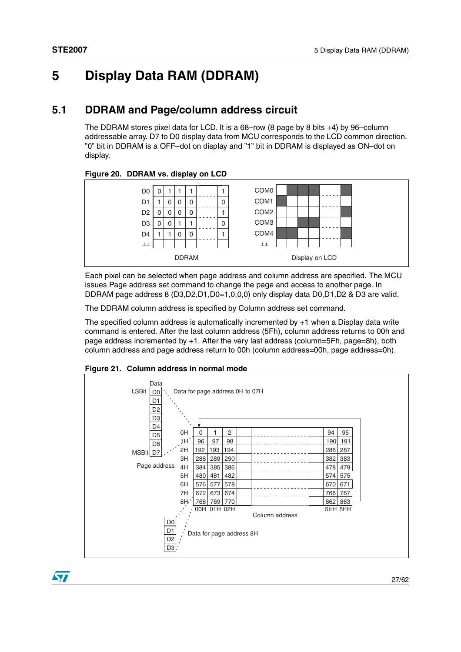## <span id="page-26-0"></span>**5 Display Data RAM (DDRAM)**

## <span id="page-26-1"></span>**5.1 DDRAM and Page/column address circuit**

The DDRAM stores pixel data for LCD. It is a 68–row (8 page by 8 bits +4) by 96–column addressable array. D7 to D0 display data from MCU corresponds to the LCD common direction. "0" bit in DDRAM is a OFF–dot on display and "1" bit in DDRAM is displayed as ON–dot on display.

#### **Figure 20. DDRAM vs. display on LCD**



Each pixel can be selected when page address and column address are specified. The MCU issues Page address set command to change the page and access to another page. In DDRAM page address 8 (D3,D2,D1,D0=1,0,0,0) only display data D0,D1,D2 & D3 are valid.

The DDRAM column address is specified by Column address set command.

The specified column address is automatically incremented by +1 when a Display data write command is entered. After the last column address (5Fh), column address returns to 00h and page address incremented by +1. After the very last address (column=5Fh, page=8h), both column address and page address return to 00h (column address=00h, page address=0h).



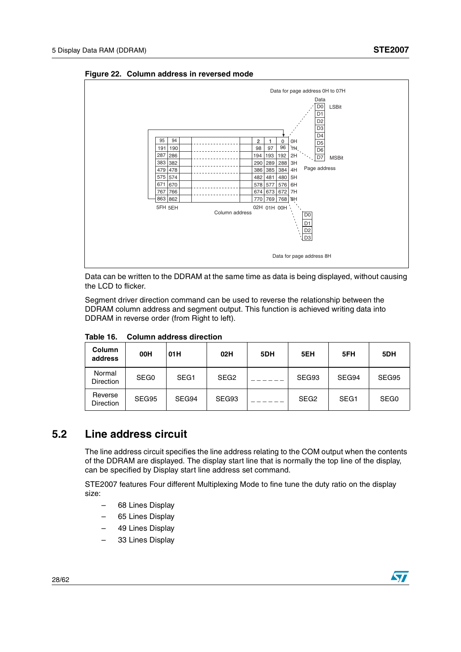

**Figure 22. Column address in reversed mode**

Data can be written to the DDRAM at the same time as data is being displayed, without causing the LCD to flicker.

Segment driver direction command can be used to reverse the relationship between the DDRAM column address and segment output. This function is achieved writing data into DDRAM in reverse order (from Right to left).

| <b>Column</b><br>address    | 00H              | 01H              | 02H              | 5DH | 5EH              | 5FH              | 5DH              |
|-----------------------------|------------------|------------------|------------------|-----|------------------|------------------|------------------|
| Normal<br><b>Direction</b>  | SEG <sub>0</sub> | SEG <sub>1</sub> | SEG <sub>2</sub> |     | SEG93            | SEG94            | SEG95            |
| Reverse<br><b>Direction</b> | SEG95            | SEG94            | SEG93            |     | SEG <sub>2</sub> | SEG <sub>1</sub> | SEG <sub>0</sub> |

**Table 16. Column address direction**

## <span id="page-27-0"></span>**5.2 Line address circuit**

The line address circuit specifies the line address relating to the COM output when the contents of the DDRAM are displayed. The display start line that is normally the top line of the display, can be specified by Display start line address set command.

STE2007 features Four different Multiplexing Mode to fine tune the duty ratio on the display size:

- 68 Lines Display
- 65 Lines Display
- 49 Lines Display
- 33 Lines Display

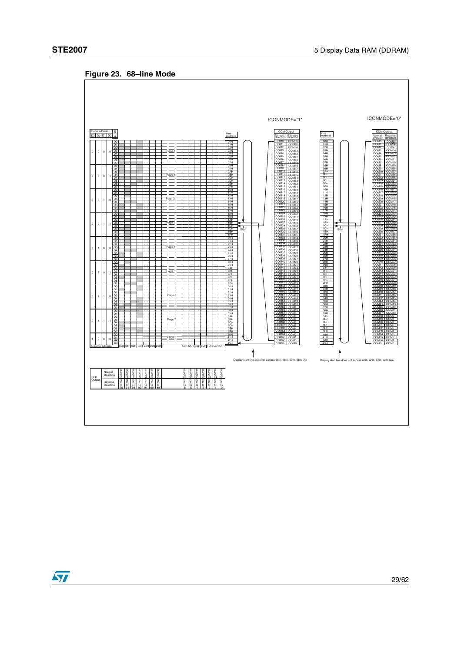

## **Figure 23. 68–line Mode**

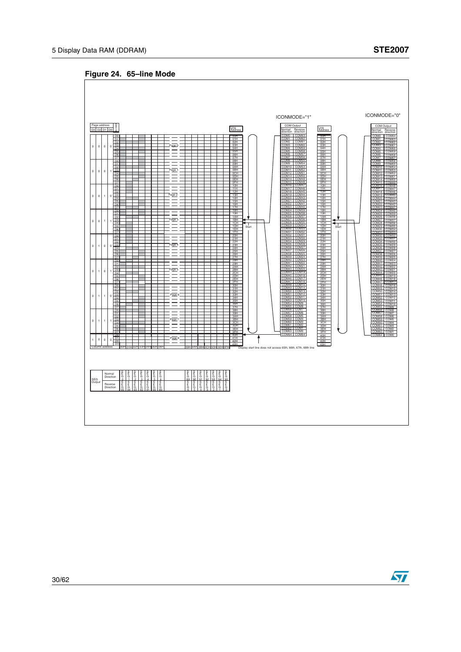**Figure 24. 65–line Mode**



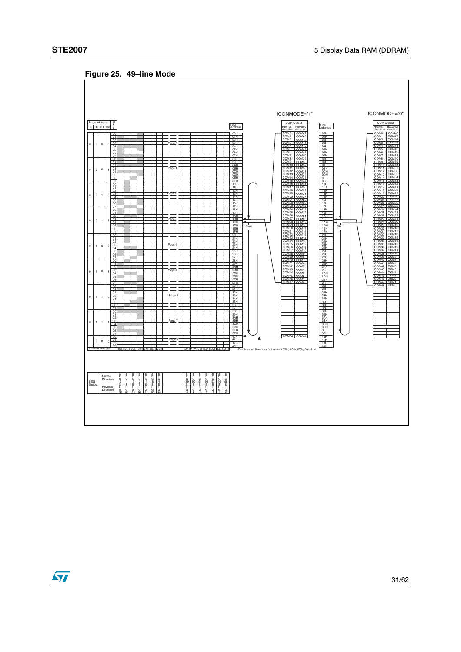

**Figure 25. 49–line Mode**

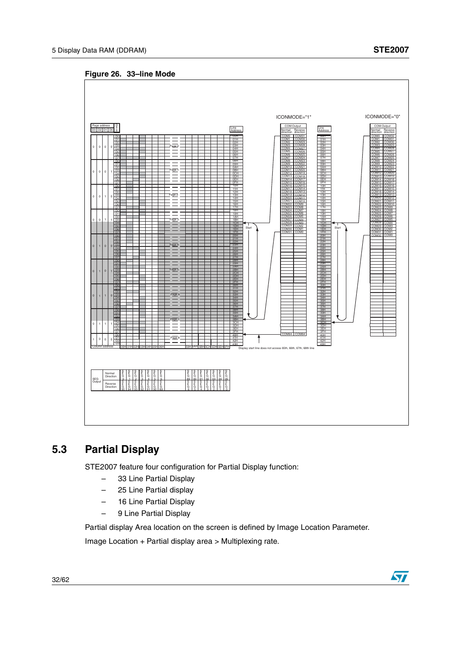**Figure 26. 33–line Mode**



## <span id="page-31-0"></span>**5.3 Partial Display**

STE2007 feature four configuration for Partial Display function:

- 33 Line Partial Display
- 25 Line Partial display
- 16 Line Partial Display
- 9 Line Partial Display

Partial display Area location on the screen is defined by Image Location Parameter.

Image Location + Partial display area > Multiplexing rate.



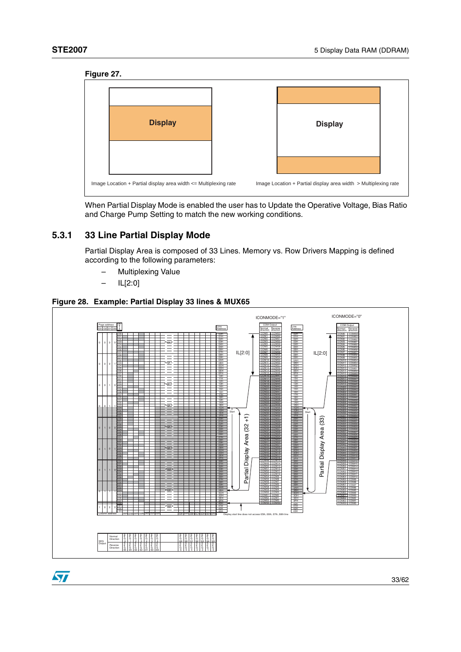ST





When Partial Display Mode is enabled the user has to Update the Operative Voltage, Bias Ratio and Charge Pump Setting to match the new working conditions.

## <span id="page-32-0"></span>**5.3.1 33 Line Partial Display Mode**

Partial Display Area is composed of 33 Lines. Memory vs. Row Drivers Mapping is defined according to the following parameters:

- Multiplexing Value
- IL[2:0]

#### **Figure 28. Example: Partial Display 33 lines & MUX65**

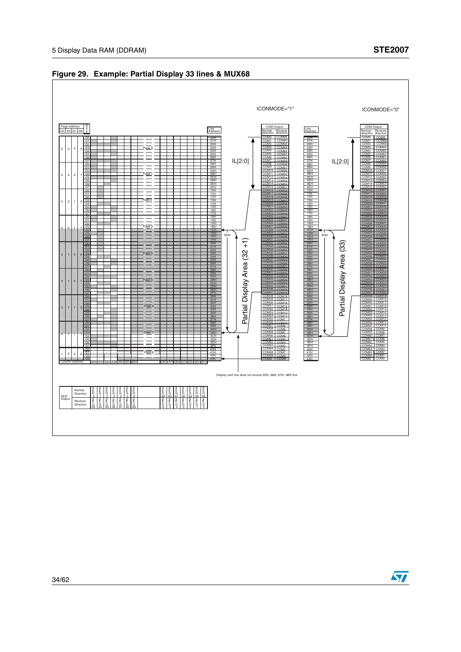

#### **Figure 29. Example: Partial Display 33 lines & MUX68**

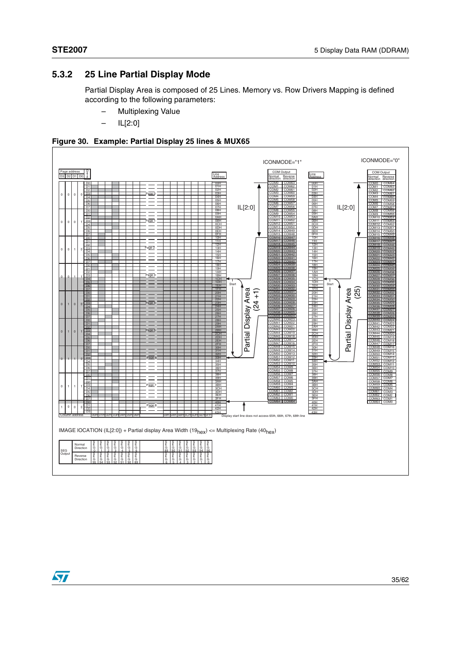## <span id="page-34-0"></span>**5.3.2 25 Line Partial Display Mode**

Partial Display Area is composed of 25 Lines. Memory vs. Row Drivers Mapping is defined according to the following parameters:

- Multiplexing Value
- IL[2:0]





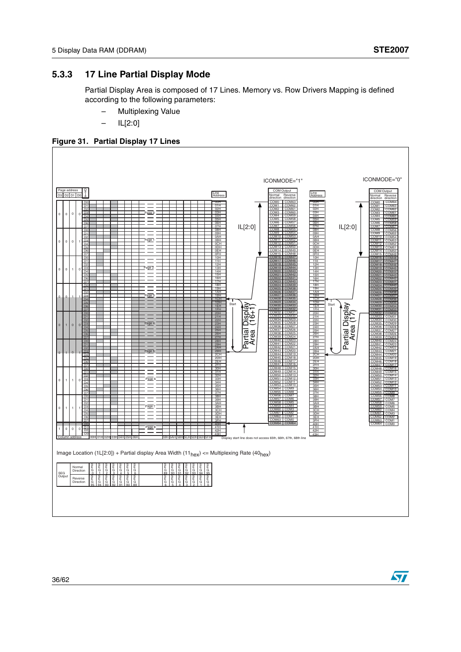ST

## <span id="page-35-0"></span>**5.3.3 17 Line Partial Display Mode**

Partial Display Area is composed of 17 Lines. Memory vs. Row Drivers Mapping is defined according to the following parameters:

- Multiplexing Value
- IL[2:0]



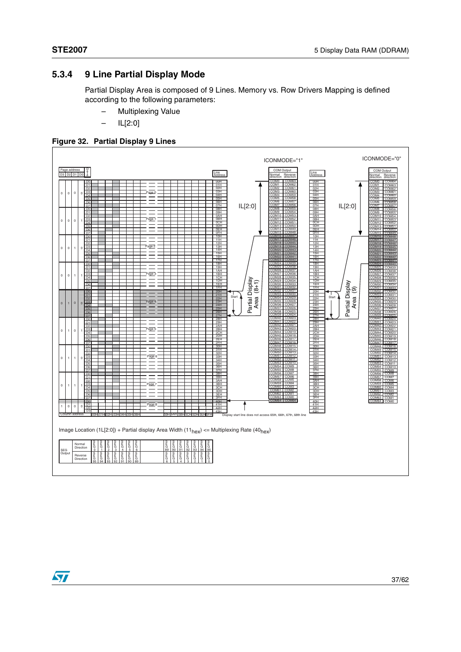## <span id="page-36-0"></span>**5.3.4 9 Line Partial Display Mode**

Partial Display Area is composed of 9 Lines. Memory vs. Row Drivers Mapping is defined according to the following parameters:

- Multiplexing Value
- IL[2:0]





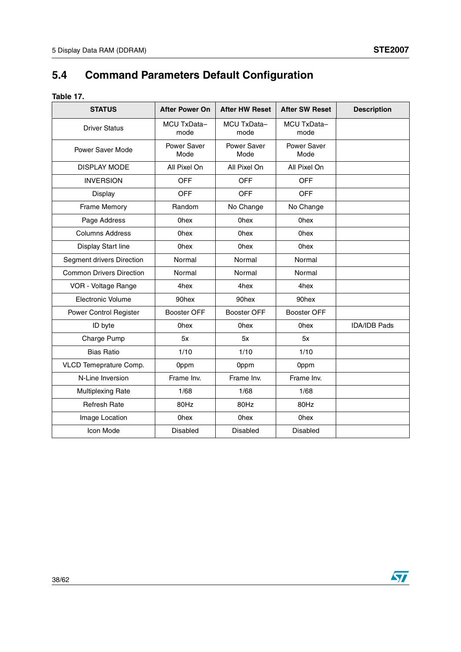# <span id="page-37-0"></span>**5.4 Command Parameters Default Configuration**

| Ι<br>я<br>ю<br>ı<br>۱. |  |
|------------------------|--|
|------------------------|--|

| <b>STATUS</b>                   | <b>After Power On</b> | <b>After HW Reset</b> | <b>After SW Reset</b> | <b>Description</b>  |
|---------------------------------|-----------------------|-----------------------|-----------------------|---------------------|
| <b>Driver Status</b>            | MCU TxData-<br>mode   | MCU TxData-<br>mode   | MCU TxData-<br>mode   |                     |
| <b>Power Saver Mode</b>         | Power Saver<br>Mode   | Power Saver<br>Mode   | Power Saver<br>Mode   |                     |
| <b>DISPLAY MODE</b>             | All Pixel On          | All Pixel On          | All Pixel On          |                     |
| <b>INVERSION</b>                | <b>OFF</b>            | <b>OFF</b>            | <b>OFF</b>            |                     |
| Display                         | <b>OFF</b>            | <b>OFF</b>            | <b>OFF</b>            |                     |
| Frame Memory                    | Random                | No Change             | No Change             |                     |
| Page Address                    | <b>Ohex</b>           | <b>Ohex</b>           | <b>Ohex</b>           |                     |
| <b>Columns Address</b>          | <b>Ohex</b>           | <b>Ohex</b>           | <b>Ohex</b>           |                     |
| Display Start line              | <b>Ohex</b>           | <b>Ohex</b>           | <b>Ohex</b>           |                     |
| Segment drivers Direction       | Normal                | Normal                | Normal                |                     |
| <b>Common Drivers Direction</b> | Normal                | Normal                | Normal                |                     |
| VOR - Voltage Range             | 4hex                  | 4hex                  | 4hex                  |                     |
| Electronic Volume               | 90hex                 | 90hex                 | 90hex                 |                     |
| Power Control Register          | <b>Booster OFF</b>    | <b>Booster OFF</b>    | <b>Booster OFF</b>    |                     |
| ID byte                         | 0 <sub>hex</sub>      | <b>Ohex</b>           | <b>Ohex</b>           | <b>IDA/IDB Pads</b> |
| Charge Pump                     | 5x                    | 5x                    | 5x                    |                     |
| <b>Bias Ratio</b>               | 1/10                  | 1/10                  | 1/10                  |                     |
| VLCD Temeprature Comp.          | 0ppm                  | 0ppm                  | 0ppm                  |                     |
| N-Line Inversion                | Frame Inv.            | Frame Inv.            | Frame Inv.            |                     |
| <b>Multiplexing Rate</b>        | 1/68                  | 1/68                  | 1/68                  |                     |
| <b>Refresh Rate</b>             | 80Hz                  | 80Hz                  | 80Hz                  |                     |
| Image Location                  | <b>Ohex</b>           | <b>Ohex</b>           | <b>Ohex</b>           |                     |
| Icon Mode                       | Disabled              | <b>Disabled</b>       | <b>Disabled</b>       |                     |
|                                 |                       |                       |                       |                     |

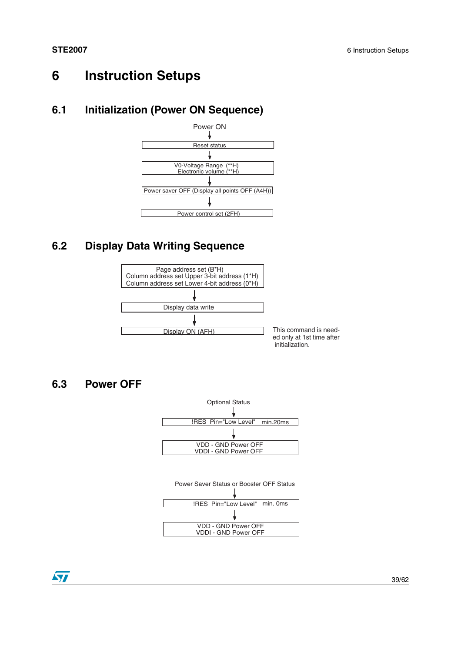## <span id="page-38-0"></span>**6 Instruction Setups**

## <span id="page-38-1"></span>**6.1 Initialization (Power ON Sequence)**



## <span id="page-38-2"></span>**6.2 Display Data Writing Sequence**



## <span id="page-38-3"></span>**6.3 Power OFF**



57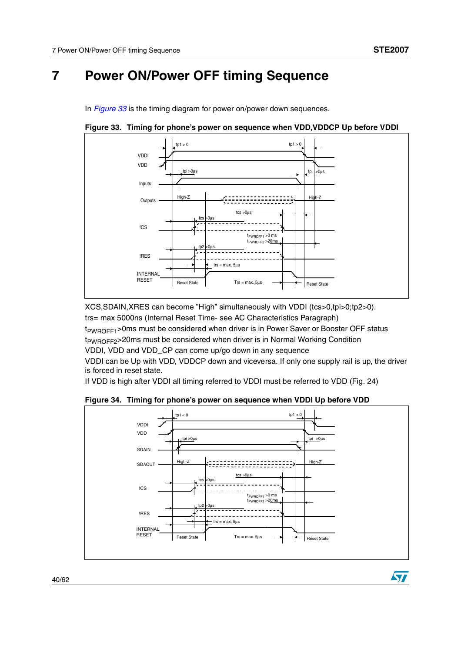57

## <span id="page-39-0"></span>**7 Power ON/Power OFF timing Sequence**

In *[Figure](#page-39-1) 33* is the timing diagram for power on/power down sequences.



<span id="page-39-1"></span>**Figure 33. Timing for phone's power on sequence when VDD,VDDCP Up before VDDI**

XCS,SDAIN,XRES can become "High" simultaneously with VDDI (tcs>0,tpi>0;tp2>0). trs= max 5000ns (Internal Reset Time- see AC Characteristics Paragraph)

 $t_{PWROFF1}$ >0ms must be considered when driver is in Power Saver or Booster OFF status t<sub>PWROFF2</sub>>20ms must be considered when driver is in Normal Working Condition

VDDI, VDD and VDD\_CP can come up/go down in any sequence

VDDI can be Up with VDD, VDDCP down and viceversa. If only one supply rail is up, the driver is forced in reset state.

If VDD is high after VDDI all timing referred to VDDI must be referred to VDD (Fig. 24)

**Figure 34. Timing for phone's power on sequence when VDDI Up before VDD**

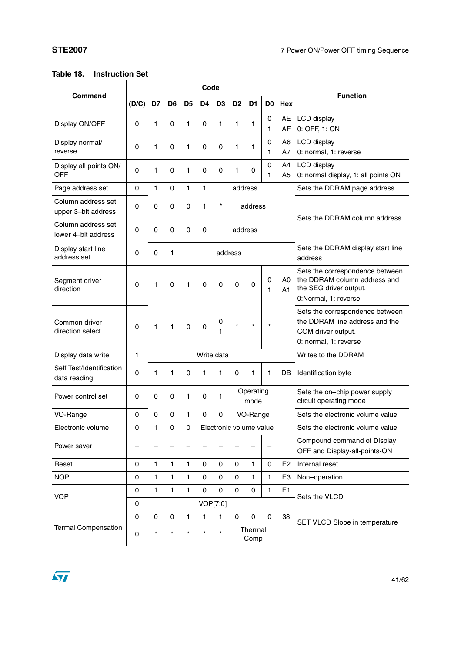|                                           |          |              | Code           |                |                |                         |                |                   |                |                |                                                                                                                   |
|-------------------------------------------|----------|--------------|----------------|----------------|----------------|-------------------------|----------------|-------------------|----------------|----------------|-------------------------------------------------------------------------------------------------------------------|
| Command                                   | (D/C)    | D7           | D <sub>6</sub> | D <sub>5</sub> | D <sub>4</sub> | D <sub>3</sub>          | D <sub>2</sub> | D <sub>1</sub>    | D <sub>0</sub> | Hex            | <b>Function</b>                                                                                                   |
| Display ON/OFF                            | 0        | 1            | 0              | 1              | 0              | 1                       | 1              | 1                 | 0<br>1         | AE<br>AF       | LCD display<br>0: OFF, 1: ON                                                                                      |
| Display normal/<br>reverse                | 0        | 1            | 0              | 1              | 0              | $\Omega$                | 1              | 1                 | 0<br>1         | A6<br>A7       | LCD display<br>0: normal, 1: reverse                                                                              |
| Display all points ON/<br><b>OFF</b>      | 0        | 1            | 0              | 1              | 0              | 0                       | 1              | 0                 | 0<br>1         | A4<br>A5       | LCD display<br>0: normal display, 1: all points ON                                                                |
| Page address set                          | $\Omega$ | 1            | 0              | 1              | 1              |                         |                | address           |                |                | Sets the DDRAM page address                                                                                       |
| Column address set<br>upper 3-bit address | 0        | 0            | 0              | $\mathbf 0$    | 1              | $\star$                 |                | address           |                |                | Sets the DDRAM column address                                                                                     |
| Column address set<br>lower 4-bit address | 0        | 0            | 0              | 0              | 0              |                         |                | address           |                |                |                                                                                                                   |
| Display start line<br>address set         | 0        | 0            | 1              |                |                |                         | address        |                   |                |                | Sets the DDRAM display start line<br>address                                                                      |
| Segment driver<br>direction               | 0        | 1            | $\Omega$       | 1              | 0              | $\Omega$                | $\Omega$       | 0                 | 0<br>1         | A0<br>A1       | Sets the correspondence between<br>the DDRAM column address and<br>the SEG driver output.<br>0:Normal, 1: reverse |
| Common driver<br>direction select         | 0        | 1            | 1              | $\mathbf 0$    | 0              | 0<br>1                  | $\star$        | $\star$           | $\star$        |                | Sets the correspondence between<br>the DDRAM line address and the<br>COM driver output.<br>0: normal, 1: reverse  |
| Display data write                        | 1        |              |                |                |                | Write data              |                |                   |                |                | Writes to the DDRAM                                                                                               |
| Self Test/Identification<br>data reading  | $\Omega$ | 1            | 1              | $\mathbf 0$    | 1              | 1                       | $\mathbf 0$    | 1                 | 1              | DB             | Identification byte                                                                                               |
| Power control set                         | 0        | 0            | 0              | 1              | 0              | 1                       |                | Operating<br>mode |                |                | Sets the on-chip power supply<br>circuit operating mode                                                           |
| VO-Range                                  | 0        | 0            | 0              | 1              | 0              | $\Omega$                |                | VO-Range          |                |                | Sets the electronic volume value                                                                                  |
| Electronic volume                         | 0        | 1            | 0              | 0              |                | Electronic volume value |                |                   |                |                | Sets the electronic volume value                                                                                  |
| Power saver                               |          |              |                |                |                |                         |                |                   |                |                | Compound command of Display<br>OFF and Display-all-points-ON                                                      |
| Reset                                     | 0        | 1            | 1              | 1              | 0              | 0                       | $\mathbf 0$    | 1                 | 0              | E <sub>2</sub> | Internal reset                                                                                                    |
| <b>NOP</b>                                | 0        | 1            | 1              | 1              | 0              | 0                       | $\mathsf 0$    | 1                 | 1              | E <sub>3</sub> | Non-operation                                                                                                     |
| <b>VOP</b>                                | 0        | $\mathbf{1}$ | 1              | $\mathbf{1}$   | 0              | $\mathbf 0$             | $\mathbf 0$    | 0                 | 1              | E1             |                                                                                                                   |
|                                           | 0        |              |                |                |                | VOP[7:0]                |                |                   |                | Sets the VLCD  |                                                                                                                   |
|                                           | 0        | 0            | 0              | 1              | 1              | 1                       | 0              | 0                 | $\mathsf 0$    | 38             | SET VLCD Slope in temperature                                                                                     |
| <b>Termal Compensation</b>                | 0        | $\star$      | $\star$        | $\star$        | $\star$        | $\star$                 |                | Thermal<br>Comp   |                |                |                                                                                                                   |

### **Table 18. Instruction Set**

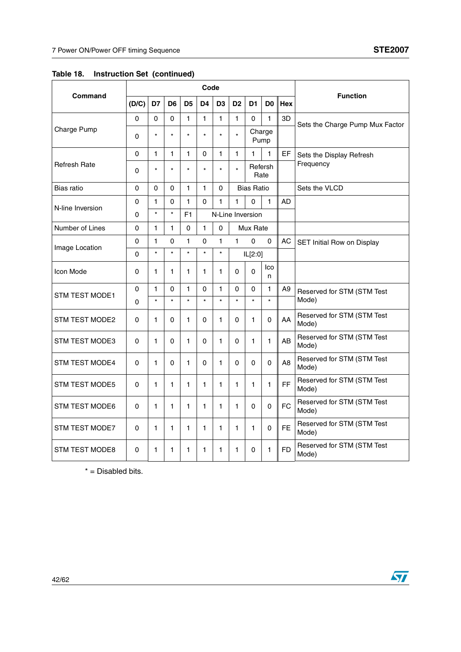|                       |             |              |                |                | Code           |                |                |                   |                 |                | <b>Function</b>                     |  |
|-----------------------|-------------|--------------|----------------|----------------|----------------|----------------|----------------|-------------------|-----------------|----------------|-------------------------------------|--|
| Command               | (D/C)       | D7           | D <sub>6</sub> | D <sub>5</sub> | D <sub>4</sub> | D <sub>3</sub> | D <sub>2</sub> | D <sub>1</sub>    | D <sub>0</sub>  | Hex            |                                     |  |
|                       | 0           | 0            | 0              | 1              | 1              | $\mathbf{1}$   | 1              | 0                 | $\mathbf{1}$    | 3D             | Sets the Charge Pump Mux Factor     |  |
| Charge Pump           | 0           | $\star$      | $\star$        | $\star$        | $\star$        | $\star$        | $\star$        | Charge<br>Pump    |                 |                |                                     |  |
|                       | 0           | $\mathbf{1}$ | 1              | $\mathbf{1}$   | $\Omega$       | $\mathbf{1}$   | $\mathbf{1}$   | 1                 | 1               | EF             | Sets the Display Refresh            |  |
| Refresh Rate          | 0           | $\star$      | $\star$        | $\star$        | $\star$        | $\star$        | $\star$        |                   | Refersh<br>Rate |                | Frequency                           |  |
| Bias ratio            | 0           | 0            | 0              | 1              | 1              | $\Omega$       |                | <b>Bias Ratio</b> |                 |                | Sets the VLCD                       |  |
| N-line Inversion      | $\mathbf 0$ | 1            | 0              | 1              | $\Omega$       | 1              | 1              | 0                 | 1               | <b>AD</b>      |                                     |  |
|                       | $\Omega$    | $\star$      | $\star$        | F <sub>1</sub> |                |                |                | N-Line Inversion  |                 |                |                                     |  |
| Number of Lines       | 0           | 1            | 1              | 0              | 1              | 0              |                | Mux Rate          |                 |                |                                     |  |
| Image Location        | 0           | 1            | 0              | $\mathbf{1}$   | 0              | $\mathbf{1}$   | $\mathbf{1}$   | $\mathbf 0$       | 0               | АC             | SET Initial Row on Display          |  |
|                       | 0           | $\star$      | $\star$        | $\star$        | $\star$        | $\star$        |                | IL[2:0]           |                 |                |                                     |  |
| Icon Mode             | 0           | 1            | 1              | 1              | 1              | 1.             | 0              | 0                 | lco<br>n        |                |                                     |  |
| STM TEST MODE1        | 0           | $\mathbf{1}$ | 0              | 1              | 0              | $\mathbf{1}$   | 0              | 0                 | 1               | A9             | Reserved for STM (STM Test          |  |
|                       | 0           | $\star$      | $\star$        | $\star$        | $\star$        | $\star$        | $\star$        | $\star$           | $\star$         |                | Mode)                               |  |
| STM TEST MODE2        | 0           | 1            | 0              | 1              | 0              | 1              | 0              | 1                 | 0               | AA             | Reserved for STM (STM Test<br>Mode) |  |
| STM TEST MODE3        | 0           | 1            | 0              | $\mathbf{1}$   | 0              | 1              | 0              | 1                 | 1               | AB             | Reserved for STM (STM Test<br>Mode) |  |
| STM TEST MODE4        | 0           | 1            | 0              | $\mathbf{1}$   | 0              | $\mathbf{1}$   | 0              | 0                 | 0               | A <sub>8</sub> | Reserved for STM (STM Test<br>Mode) |  |
| <b>STM TEST MODE5</b> | 0           | 1            | 1              | $\mathbf{1}$   | 1              | 1              | $\mathbf{1}$   | 1                 | 1               | FF             | Reserved for STM (STM Test<br>Mode) |  |
| <b>STM TEST MODE6</b> | 0           | 1            | 1              | 1              | 1              | 1              | 1              | 0                 | 0               | <b>FC</b>      | Reserved for STM (STM Test<br>Mode) |  |
| STM TEST MODE7        | 0           | 1            | 1              | 1              | 1              | 1              | 1              | 1                 | 0               | <b>FE</b>      | Reserved for STM (STM Test<br>Mode) |  |
| STM TEST MODE8        | 0           | 1            | 1              | 1              | 1              | $\mathbf{1}$   | 1              | 0                 | 1               | <b>FD</b>      | Reserved for STM (STM Test<br>Mode) |  |

**Table 18. Instruction Set (continued)**

\* = Disabled bits.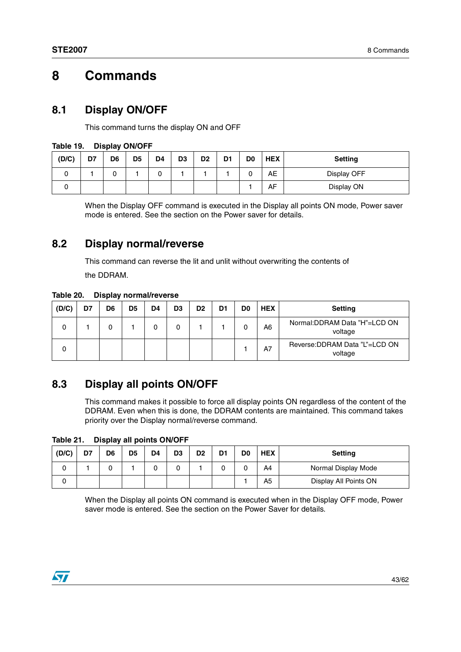## <span id="page-42-0"></span>**8 Commands**

## <span id="page-42-1"></span>**8.1 Display ON/OFF**

This command turns the display ON and OFF

| (D/C) | D7 | D6 | D <sub>5</sub> | D <sub>4</sub> | D <sub>3</sub> | D <sub>2</sub> | D1 | D <sub>0</sub> | <b>HEX</b> | <b>Setting</b> |
|-------|----|----|----------------|----------------|----------------|----------------|----|----------------|------------|----------------|
|       |    |    |                |                |                |                |    | ັ              | AE         | Display OFF    |
| ີ     |    |    |                |                |                |                |    |                | AF         | Display ON     |

#### **Table 19. Display ON/OFF**

When the Display OFF command is executed in the Display all points ON mode, Power saver mode is entered. See the section on the Power saver for details.

## <span id="page-42-2"></span>**8.2 Display normal/reverse**

This command can reverse the lit and unlit without overwriting the contents of the DDRAM.

**Table 20. Display normal/reverse**

| (D/C) | D7 | D6 | D <sub>5</sub> | D <sub>4</sub> | D <sub>3</sub> | D <sub>2</sub> | D <sub>1</sub> | D0 | <b>HEX</b> | <b>Setting</b>                            |
|-------|----|----|----------------|----------------|----------------|----------------|----------------|----|------------|-------------------------------------------|
| 0     |    | 0  |                |                | 0              |                |                | 0  | A6         | Normal:DDRAM Data "H"=LCD ON<br>voltage   |
| 0     |    |    |                |                |                |                |                |    | A7         | Reverse: DDRAM Data "L"=LCD ON<br>voltage |

## <span id="page-42-3"></span>**8.3 Display all points ON/OFF**

This command makes it possible to force all display points ON regardless of the content of the DDRAM. Even when this is done, the DDRAM contents are maintained. This command takes priority over the Display normal/reverse command.

**Table 21. Display all points ON/OFF**

| (D/C) | D7 | D6 | D <sub>5</sub> | D <sub>4</sub> | D <sub>3</sub> | D <sub>2</sub> | D1 | D0 | <b>HEX</b>     | <b>Setting</b>        |
|-------|----|----|----------------|----------------|----------------|----------------|----|----|----------------|-----------------------|
|       |    |    |                |                |                |                |    | 0  | A4             | Normal Display Mode   |
|       |    |    |                |                |                |                |    |    | A <sub>5</sub> | Display All Points ON |

When the Display all points ON command is executed when in the Display OFF mode, Power saver mode is entered. See the section on the Power Saver for details.

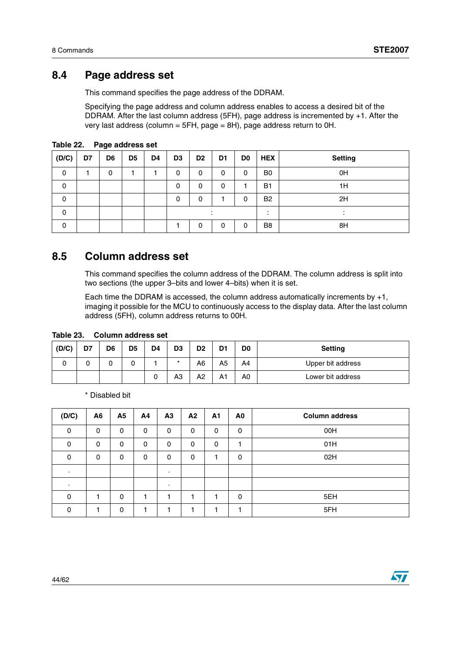## <span id="page-43-0"></span>**8.4 Page address set**

This command specifies the page address of the DDRAM.

Specifying the page address and column address enables to access a desired bit of the DDRAM. After the last column address (5FH), page address is incremented by +1. After the very last address (column = 5FH, page = 8H), page address return to 0H.

| (D/C)       | D7 | D6 | D <sub>5</sub> | D <sub>4</sub> | D <sub>3</sub> | D <sub>2</sub> | D <sub>1</sub> | D <sub>0</sub> | <b>HEX</b>     | <b>Setting</b> |
|-------------|----|----|----------------|----------------|----------------|----------------|----------------|----------------|----------------|----------------|
| 0           |    | 0  |                |                | 0              | 0              | 0              | 0              | B <sub>0</sub> | 0H             |
| 0           |    |    |                |                | 0              | 0              | 0              |                | <b>B1</b>      | 1H             |
| $\mathbf 0$ |    |    |                |                | 0              | 0              |                | 0              | <b>B2</b>      | 2H             |
| $\mathbf 0$ |    |    |                |                |                |                |                |                |                |                |
| $\Omega$    |    |    |                |                |                | 0              | 0              | 0              | B <sub>8</sub> | 8H             |

**Table 22. Page address set**

## <span id="page-43-1"></span>**8.5 Column address set**

This command specifies the column address of the DDRAM. The column address is split into two sections (the upper 3–bits and lower 4–bits) when it is set.

Each time the DDRAM is accessed, the column address automatically increments by +1, imaging it possible for the MCU to continuously access to the display data. After the last column address (5FH), column address returns to 00H.

| (D/C) | D7 | D <sub>6</sub> | D <sub>5</sub> | D <sub>4</sub> | D3      | D <sub>2</sub> | D1 | D <sub>0</sub> | <b>Setting</b>    |
|-------|----|----------------|----------------|----------------|---------|----------------|----|----------------|-------------------|
|       |    |                |                |                | $\star$ | A6             | A5 | A4             | Upper bit address |
|       |    |                |                | ີ              | AЗ      | A2             | A1 | A <sub>0</sub> | Lower bit address |

#### **Table 23. Column address set**

\* Disabled bit

| (D/C)       | A6           | <b>A5</b> | Α4       | A3             | A2       | A1       | A0       | <b>Column address</b> |
|-------------|--------------|-----------|----------|----------------|----------|----------|----------|-----------------------|
| $\Omega$    | $\mathbf{0}$ | $\Omega$  | $\Omega$ | $\mathbf{0}$   | $\Omega$ | $\Omega$ | $\Omega$ | 00H                   |
| $\mathbf 0$ | 0            | 0         | 0        | 0              | 0        | 0        |          | 01H                   |
| $\Omega$    | 0            | 0         | $\Omega$ | $\mathbf 0$    | $\Omega$ |          | $\Omega$ | 02H                   |
| ٠           |              |           |          | $\blacksquare$ |          |          |          |                       |
|             |              |           |          | $\bullet$      |          |          |          |                       |
| $\Omega$    |              | 0         |          |                |          |          | $\Omega$ | 5EH                   |
| 0           |              | 0         |          |                |          |          |          | 5FH                   |

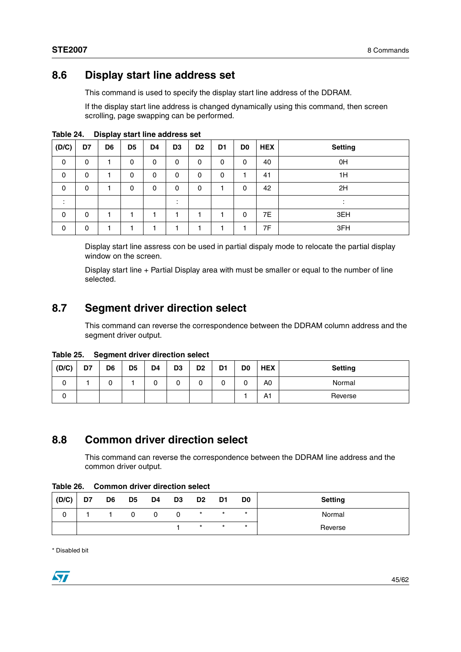## <span id="page-44-0"></span>**8.6 Display start line address set**

This command is used to specify the display start line address of the DDRAM.

If the display start line address is changed dynamically using this command, then screen scrolling, page swapping can be performed.

| (D/C)   | D7       | _<br>D6 | D <sub>5</sub> | D4       | D <sub>3</sub>       | D <sub>2</sub> | D1 | D0 | <b>HEX</b> | <b>Setting</b> |
|---------|----------|---------|----------------|----------|----------------------|----------------|----|----|------------|----------------|
| 0       | 0        |         | 0              | 0        | 0                    | 0              | 0  | 0  | 40         | 0H             |
| 0       | 0        |         | 0              | 0        | 0                    | 0              | 0  |    | 41         | 1H             |
| 0       | $\Omega$ |         | 0              | $\Omega$ | 0                    | 0              |    | 0  | 42         | 2H             |
| ٠<br>٠. |          |         |                |          | $\bullet$<br>$\cdot$ |                |    |    |            | $\cdot$        |
| 0       | 0        |         |                | ٠        |                      |                |    | 0  | 7E         | 3EH            |
| 0       | 0        |         |                |          |                      |                |    |    | 7F         | 3FH            |

**Table 24. Display start line address set**

Display start line assress con be used in partial dispaly mode to relocate the partial display window on the screen.

Display start line + Partial Display area with must be smaller or equal to the number of line selected.

## <span id="page-44-1"></span>**8.7 Segment driver direction select**

This command can reverse the correspondence between the DDRAM column address and the segment driver output.

| Table 25. |  | <b>Segment driver direction select</b> |  |
|-----------|--|----------------------------------------|--|
|-----------|--|----------------------------------------|--|

| (D/C) | D7 | D6 | D <sub>5</sub> | D4 | D <sub>3</sub> | D <sub>2</sub> | D <sub>1</sub> | D0 | <b>HEX</b>     | <b>Setting</b> |
|-------|----|----|----------------|----|----------------|----------------|----------------|----|----------------|----------------|
| 0     |    | ີ  |                |    | 0              | ັ              | u              | U  | A <sub>0</sub> | Normal         |
| U     |    |    |                |    |                |                |                |    | A1             | Reverse        |

## <span id="page-44-2"></span>**8.8 Common driver direction select**

This command can reverse the correspondence between the DDRAM line address and the common driver output.

| Table 26. |  | Common driver direction select |  |
|-----------|--|--------------------------------|--|
|-----------|--|--------------------------------|--|

| (D/C) | D7 | D6 | D <sub>5</sub> | D4 | D <sub>3</sub> | D <sub>2</sub> | D1      | D <sub>0</sub> | <b>Setting</b> |
|-------|----|----|----------------|----|----------------|----------------|---------|----------------|----------------|
| 0     |    |    |                |    |                | *              | $\star$ | $\star$        | Normal         |
|       |    |    |                |    |                | $\star$        | $\star$ | $\star$        | Reverse        |

\* Disabled bit

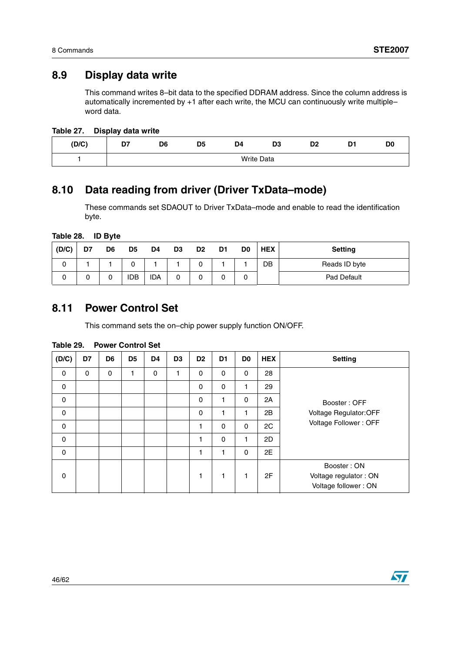## <span id="page-45-0"></span>**8.9 Display data write**

This command writes 8–bit data to the specified DDRAM address. Since the column address is automatically incremented by +1 after each write, the MCU can continuously write multiple– word data.

| Table 27. |  | Display data write |
|-----------|--|--------------------|
|-----------|--|--------------------|

| (D/C) | --<br>. . | D6                | D <sub>5</sub> | D4 | D <sub>2</sub><br>IJJ | D <sub>2</sub><br><u>—</u> | m.<br>$ -$ | D <sub>C</sub> |  |  |
|-------|-----------|-------------------|----------------|----|-----------------------|----------------------------|------------|----------------|--|--|
|       |           | <b>Write Data</b> |                |    |                       |                            |            |                |  |  |

## <span id="page-45-1"></span>**8.10 Data reading from driver (Driver TxData–mode)**

These commands set SDAOUT to Driver TxData–mode and enable to read the identification byte.

| Table 28. | <b>ID Byte</b> |  |
|-----------|----------------|--|
|           |                |  |

| (D/C) | D7 | D6 | D <sub>5</sub> | D4  | D <sub>3</sub> | D <sub>2</sub> | D1 | D0 | <b>HEX</b> | <b>Setting</b> |
|-------|----|----|----------------|-----|----------------|----------------|----|----|------------|----------------|
| U     |    |    |                |     |                |                |    |    | DB         | Reads ID byte  |
|       | U  | U  | idb            | ida |                |                |    | U  |            | Pad Default    |

## <span id="page-45-2"></span>**8.11 Power Control Set**

This command sets the on–chip power supply function ON/OFF.

| (D/C)       | D7          | D6 | D <sub>5</sub> | D <sub>4</sub> | D3 | D <sub>2</sub> | D <sub>1</sub> | D <sub>0</sub> | <b>HEX</b> | <b>Setting</b>                                               |
|-------------|-------------|----|----------------|----------------|----|----------------|----------------|----------------|------------|--------------------------------------------------------------|
| $\mathbf 0$ | $\mathbf 0$ | 0  | 1              | $\mathbf 0$    | 1  | 0              | 0              | $\Omega$       | 28         |                                                              |
| $\pmb{0}$   |             |    |                |                |    | 0              | 0              | 1              | 29         |                                                              |
| 0           |             |    |                |                |    | 0              |                | 0              | 2A         | Booster: OFF                                                 |
| $\pmb{0}$   |             |    |                |                |    | 0              | 1              | $\mathbf 1$    | 2B         | Voltage Regulator: OFF                                       |
| 0           |             |    |                |                |    | 1              | 0              | $\mathbf 0$    | 2C         | Voltage Follower: OFF                                        |
| $\mathbf 0$ |             |    |                |                |    | 1              | 0              | 1              | 2D         |                                                              |
| 0           |             |    |                |                |    | 1              | 1              | $\Omega$       | 2E         |                                                              |
| 0           |             |    |                |                |    | 1              | 1              | 1              | 2F         | Booster: ON<br>Voltage regulator: ON<br>Voltage follower: ON |

#### **Table 29. Power Control Set**

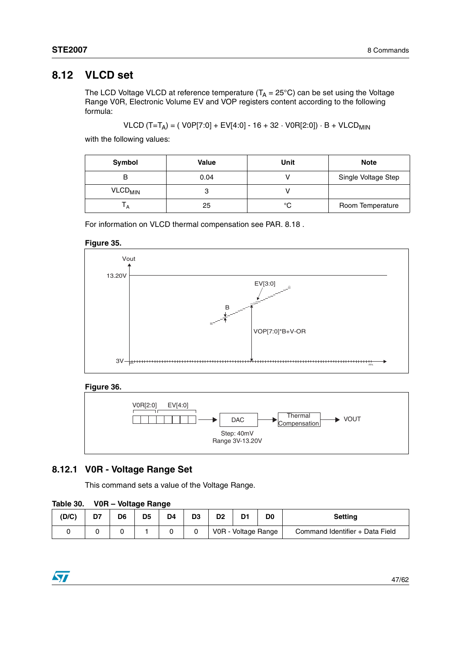## <span id="page-46-0"></span>**8.12 VLCD set**

The LCD Voltage VLCD at reference temperature (T<sub>A</sub> = 25°C) can be set using the Voltage Range V0R, Electronic Volume EV and VOP registers content according to the following formula:

$$
VLCD (T=T_A) = ( \text{ V0P[7:0]} + EV[4:0] - 16 + 32 \cdot \text{V0R[2:0] } ) \cdot B + VLCD_{MIN}
$$

with the following values:

| Symbol                    | <b>Value</b> | Unit | <b>Note</b>         |
|---------------------------|--------------|------|---------------------|
|                           | 0.04         |      | Single Voltage Step |
| <b>VLCD<sub>MIN</sub></b> |              |      |                     |
| A                         | 25           | °C   | Room Temperature    |

For information on VLCD thermal compensation see PAR. 8.18 .

#### **Figure 35.**



### **Figure 36.**



### <span id="page-46-1"></span>**8.12.1 V0R - Voltage Range Set**

This command sets a value of the Voltage Range.

#### **Table 30. V0R – Voltage Range**

| (D/C) | D7 | D <sub>6</sub> | D <sub>5</sub> | D4. | nr.<br>υ. | D2 | D1                  | D <sub>0</sub> | <b>Setting</b>                  |
|-------|----|----------------|----------------|-----|-----------|----|---------------------|----------------|---------------------------------|
|       |    |                |                |     |           |    | V0R - Voltage Range |                | Command Identifier + Data Field |

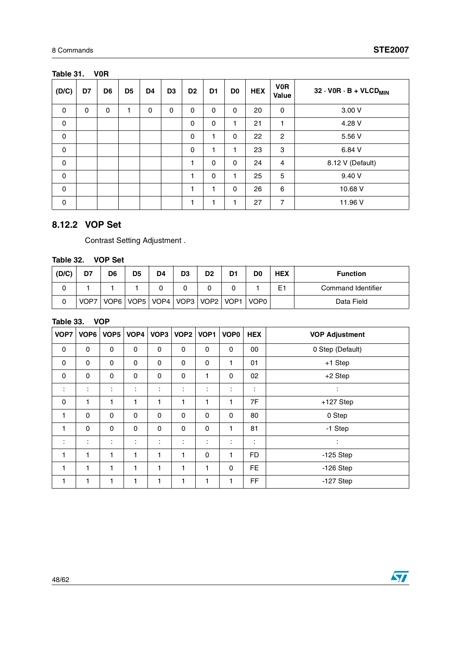### **Table 31. V0R**

| (D/C)       | D7 | D <sub>6</sub> | D <sub>5</sub> | D4          | D <sub>3</sub> | D <sub>2</sub> | D1 | D <sub>0</sub> | <b>HEX</b> | <b>VOR</b><br>Value | $32 \cdot V0R \cdot B + VLCD_{MIN}$ |
|-------------|----|----------------|----------------|-------------|----------------|----------------|----|----------------|------------|---------------------|-------------------------------------|
| $\mathbf 0$ | 0  | 0              | 1              | $\mathbf 0$ | 0              | 0              | 0  | 0              | 20         | 0                   | 3.00 V                              |
| 0           |    |                |                |             |                | 0              | 0  |                | 21         | 1                   | 4.28 V                              |
| 0           |    |                |                |             |                | 0              | 1  | 0              | 22         | 2                   | 5.56 V                              |
| 0           |    |                |                |             |                | $\mathbf 0$    | 1  | 1              | 23         | 3                   | 6.84 V                              |
| 0           |    |                |                |             |                |                | 0  | 0              | 24         | $\overline{4}$      | 8.12 V (Default)                    |
| 0           |    |                |                |             |                | 1              | 0  | 1              | 25         | $5\phantom{.0}$     | 9.40 V                              |
| $\mathbf 0$ |    |                |                |             |                | ۰              | 1  | 0              | 26         | 6                   | 10.68 V                             |
| $\mathbf 0$ |    |                |                |             |                |                | 1  | ٠              | 27         | $\overline{7}$      | 11.96 V                             |

### <span id="page-47-0"></span>**8.12.2 VOP Set**

Contrast Setting Adjustment .

### **Table 32. VOP Set**

| (D/C) | D7   | D <sub>6</sub> | D <sub>5</sub> | D4 | D <sub>3</sub> | D <sub>2</sub> | D <sub>1</sub> | D <sub>0</sub>                                 | <b>HEX</b> | <b>Function</b>    |
|-------|------|----------------|----------------|----|----------------|----------------|----------------|------------------------------------------------|------------|--------------------|
| ∩     |      |                |                |    |                |                |                |                                                | E1         | Command Identifier |
| 0     | VOP7 |                |                |    |                |                |                | VOP6   VOP5   VOP4   VOP3   VOP2   VOP1   VOP0 |            | Data Field         |

### **Table 33. VOP**

| VOP7                 | VOP6 | VOP <sub>5</sub> | VOP4 | VOP <sub>3</sub>     | VOP <sub>2</sub> | VOP <sub>1</sub> | VOP <sub>0</sub> | <b>HEX</b> | <b>VOP Adjustment</b> |
|----------------------|------|------------------|------|----------------------|------------------|------------------|------------------|------------|-----------------------|
| 0                    | 0    | 0                | 0    | 0                    | 0                | 0                | 0                | 00         | 0 Step (Default)      |
| 0                    | 0    | 0                | 0    | 0                    | 0                | 0                | 1                | 01         | $+1$ Step             |
| 0                    | 0    | 0                | 0    | 0                    | 0                | 1                | 0                | 02         | $+2$ Step             |
| ÷                    | ÷    | ÷                | ÷    | $\ddot{\phantom{a}}$ | ÷                | ÷                | ÷                | ÷          | ÷                     |
| 0                    | 1    | 1                | 1    | 1                    | 1                | 1                | 1                | 7F         | $+127$ Step           |
| 1                    | 0    | 0                | 0    | 0                    | 0                | 0                | 0                | 80         | 0 Step                |
| 1                    | 0    | 0                | 0    | 0                    | 0                | 0                | 1                | 81         | -1 Step               |
| $\ddot{\phantom{a}}$ | ÷    | ÷                | ÷    | $\ddot{\phantom{a}}$ | ÷                | ÷                | ÷                | ÷          | ÷                     |
| 1                    | 1    | 1                | 1    | 1                    | 1                | 0                | 1                | FD         | $-125$ Step           |
| 1                    | 1    | 1                | 1    | 1                    | 1                | 1                | $\mathbf 0$      | <b>FE</b>  | $-126$ Step           |
| 1                    | 1    | 1                | 1    | 1                    | 1                | 1                | 1                | FF         | $-127$ Step           |

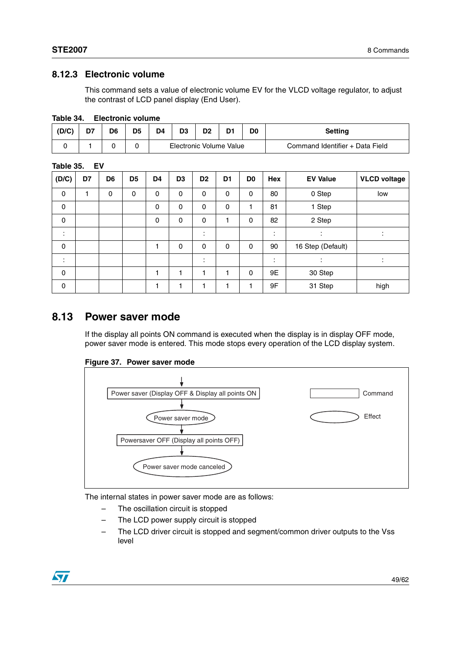### <span id="page-48-0"></span>**8.12.3 Electronic volume**

This command sets a value of electronic volume EV for the VLCD voltage regulator, to adjust the contrast of LCD panel display (End User).

| .     | ---------------- |    |    |    |    |                         |  |    |                                 |  |  |  |  |  |
|-------|------------------|----|----|----|----|-------------------------|--|----|---------------------------------|--|--|--|--|--|
| (D/C) | D7               | D6 | D5 | D4 | D3 | D <sub>2</sub>          |  | D0 | Setting                         |  |  |  |  |  |
|       |                  |    |    |    |    | Electronic Volume Value |  |    | Command Identifier + Data Field |  |  |  |  |  |

#### **Table 34. Electronic volume**

| Table 35. | EV |
|-----------|----|
|-----------|----|

| (D/C)        | D7 | D6 | D <sub>5</sub> | D4 | D <sub>3</sub> | D <sub>2</sub> | D <sub>1</sub> | D <sub>0</sub> | <b>Hex</b>      | <b>EV Value</b>     | <b>VLCD voltage</b> |
|--------------|----|----|----------------|----|----------------|----------------|----------------|----------------|-----------------|---------------------|---------------------|
| 0            | 1  | 0  | 0              | 0  | 0              | 0              | 0              | 0              | 80              | 0 Step              | low                 |
| $\mathbf 0$  |    |    |                | 0  | 0              | 0              | 0              | 1              | 81              | 1 Step              |                     |
| $\pmb{0}$    |    |    |                | 0  | 0              | 0              | 1              | 0              | 82              | 2 Step              |                     |
| ٠<br>$\cdot$ |    |    |                |    |                | ٠<br>٠         |                |                | $\bullet$<br>٠. | ٠<br>$\blacksquare$ |                     |
| $\mathbf 0$  |    |    |                | 1  | 0              | 0              | 0              | 0              | 90              | 16 Step (Default)   |                     |
| ٠<br>٠       |    |    |                |    |                | ٠<br>٠         |                |                | ٠               | ٠<br>$\cdot$        | ٠                   |
| $\mathbf 0$  |    |    |                | 1  |                |                |                | 0              | 9E              | 30 Step             |                     |
| 0            |    |    |                | 1  |                |                |                |                | 9F              | 31 Step             | high                |

### <span id="page-48-1"></span>**8.13 Power saver mode**

If the display all points ON command is executed when the display is in display OFF mode, power saver mode is entered. This mode stops every operation of the LCD display system.

#### **Figure 37. Power saver mode**



The internal states in power saver mode are as follows:

- The oscillation circuit is stopped
- The LCD power supply circuit is stopped
- The LCD driver circuit is stopped and segment/common driver outputs to the Vss level

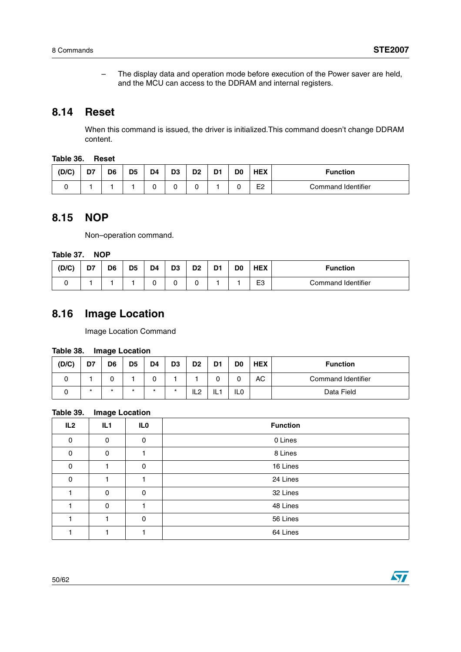– The display data and operation mode before execution of the Power saver are held, and the MCU can access to the DDRAM and internal registers.

## <span id="page-49-0"></span>**8.14 Reset**

When this command is issued, the driver is initialized.This command doesn't change DDRAM content.

#### **Table 36. Reset**

| (D/C) | D7 | D <sub>6</sub> | D <sub>5</sub> | D <sub>4</sub> | D <sub>3</sub> | D2 | D. | D <sub>0</sub> | <b>HEX</b>     | <b>Function</b>    |
|-------|----|----------------|----------------|----------------|----------------|----|----|----------------|----------------|--------------------|
|       |    |                |                |                |                |    |    |                | E <sub>2</sub> | Command Identifier |

## <span id="page-49-1"></span>**8.15 NOP**

Non–operation command.

#### **Table 37. NOP**

| (D/C) | D7 | D <sub>6</sub> | D5 | D4 | D <sub>3</sub> | D <sub>2</sub> | D <sub>1</sub> | D <sub>0</sub> | <b>HEX</b>     | <b>Function</b>    |
|-------|----|----------------|----|----|----------------|----------------|----------------|----------------|----------------|--------------------|
|       |    |                |    |    |                |                |                |                | E <sub>3</sub> | Command Identifier |

## <span id="page-49-2"></span>**8.16 Image Location**

Image Location Command

#### **Table 38. Image Location**

| (D/C) | D7      | D <sub>6</sub> | D <sub>5</sub> | D4      | D3 | D <sub>2</sub> | D <sub>1</sub> | D <sub>0</sub> | <b>HEX</b> | <b>Function</b>    |
|-------|---------|----------------|----------------|---------|----|----------------|----------------|----------------|------------|--------------------|
|       |         |                |                |         |    |                |                |                | АC         | Command Identifier |
|       | $\star$ | *              |                | $\star$ |    | IL2            | IL.            | IL0            |            | Data Field         |

### **Table 39. Image Location**

| IL <sub>2</sub> | IL <sub>1</sub> | IL <sub>0</sub> | <b>Function</b> |
|-----------------|-----------------|-----------------|-----------------|
| $\Omega$        | 0               | 0               | 0 Lines         |
| $\Omega$        | 0               |                 | 8 Lines         |
| $\Omega$        |                 | 0               | 16 Lines        |
| $\Omega$        |                 |                 | 24 Lines        |
|                 | $\Omega$        | $\Omega$        | 32 Lines        |
|                 | $\Omega$        |                 | 48 Lines        |
|                 |                 | 0               | 56 Lines        |
|                 |                 |                 | 64 Lines        |

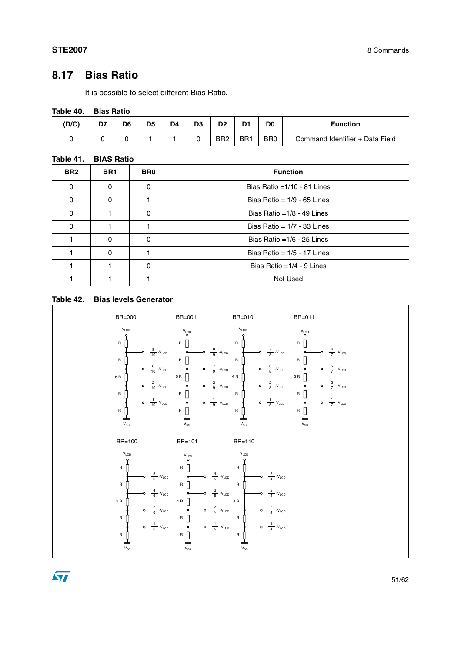## <span id="page-50-0"></span>**8.17 Bias Ratio**

It is possible to select different Bias Ratio.

#### **Table 40. Bias Ratio**

| (D/C) | D7 | D6 | D5 | D <sub>4</sub> | D3 | D <sub>2</sub>  | D <sub>1</sub>  | D <sub>0</sub>  | <b>Function</b>                 |
|-------|----|----|----|----------------|----|-----------------|-----------------|-----------------|---------------------------------|
|       |    |    |    |                |    | BR <sub>2</sub> | BR <sup>1</sup> | B <sub>R0</sub> | Command Identifier + Data Field |

#### **Table 41. BIAS Ratio**

| BR <sub>2</sub> | BR <sub>1</sub> | BR <sub>0</sub> | <b>Function</b>                |  |
|-----------------|-----------------|-----------------|--------------------------------|--|
| $\Omega$        | 0               | 0               | Bias Ratio = $1/10 - 81$ Lines |  |
| 0               | 0               |                 | Bias Ratio = $1/9 - 65$ Lines  |  |
| 0               |                 | $\Omega$        | Bias Ratio = $1/8 - 49$ Lines  |  |
| 0               |                 |                 | Bias Ratio = $1/7 - 33$ Lines  |  |
|                 | 0               | $\Omega$        | Bias Ratio = $1/6 - 25$ Lines  |  |
|                 | 0               |                 | Bias Ratio = $1/5 - 17$ Lines  |  |
|                 |                 | O               | Bias Ratio = $1/4 - 9$ Lines   |  |
|                 |                 |                 | Not Used                       |  |

#### **Table 42. Bias levels Generator**



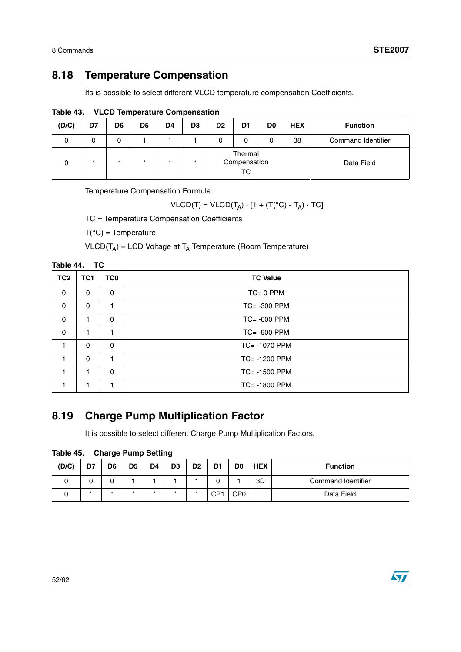## <span id="page-51-0"></span>**8.18 Temperature Compensation**

Its is possible to select different VLCD temperature compensation Coefficients.

| (D/C) | D7      | D <sub>6</sub> | D <sub>5</sub> | D <sub>4</sub> | D <sub>3</sub> | D <sub>2</sub> | D <sub>1</sub>                | D <sub>0</sub> | <b>HEX</b> | <b>Function</b>    |
|-------|---------|----------------|----------------|----------------|----------------|----------------|-------------------------------|----------------|------------|--------------------|
|       |         | 0              |                |                |                |                | 0                             |                | 38         | Command Identifier |
|       | $\star$ | $\star$        | $\star$        | $\star$        | $\star$        |                | Thermal<br>Compensation<br>ТC |                |            | Data Field         |

**Table 43. VLCD Temperature Compensation**

Temperature Compensation Formula:

$$
VLCD(T) = VLCD(T_A) \cdot [1 + (T(^{\circ}C) - T_A) \cdot TC]
$$

TC = Temperature Compensation Coefficients

 $T(^{\circ}C)$  = Temperature

 $VLCD(T_A) = LCD$  Voltage at  $T_A$  Temperature (Room Temperature)

| Table 44.<br>ТC |                 |                 |                  |  |  |  |  |  |  |  |  |
|-----------------|-----------------|-----------------|------------------|--|--|--|--|--|--|--|--|
| TC <sub>2</sub> | TC <sub>1</sub> | TC <sub>0</sub> | <b>TC Value</b>  |  |  |  |  |  |  |  |  |
| 0               | 0               | 0               | $TC = 0$ PPM     |  |  |  |  |  |  |  |  |
| 0               | 0               | 1               | $TC = -300$ PPM  |  |  |  |  |  |  |  |  |
| 0               |                 | 0               | $TC = -600$ PPM  |  |  |  |  |  |  |  |  |
| 0               | 1               | 1               | $TC = -900$ PPM  |  |  |  |  |  |  |  |  |
| 1               | $\mathbf{0}$    | $\Omega$        | TC= -1070 PPM    |  |  |  |  |  |  |  |  |
| 1               | $\Omega$        | 1               | $TC = -1200$ PPM |  |  |  |  |  |  |  |  |
| 1               |                 | 0               | $TC = -1500$ PPM |  |  |  |  |  |  |  |  |
|                 |                 |                 | TC= -1800 PPM    |  |  |  |  |  |  |  |  |

## <span id="page-51-1"></span>**8.19 Charge Pump Multiplication Factor**

It is possible to select different Charge Pump Multiplication Factors.

| Table 45. |  | <b>Charge Pump Setting</b> |
|-----------|--|----------------------------|
|           |  |                            |

| (D/C) | D7      | D6      | D <sub>5</sub> | D4      | D <sub>3</sub> | D <sub>2</sub> | D <sub>1</sub>  | D <sub>0</sub>  | <b>HEX</b> | <b>Function</b>    |
|-------|---------|---------|----------------|---------|----------------|----------------|-----------------|-----------------|------------|--------------------|
|       | v       | 0       |                |         |                |                |                 |                 | 3D         | Command Identifier |
|       | $\star$ | $\star$ |                | $\star$ | *              | $\star$        | CP <sup>4</sup> | CP <sub>0</sub> |            | Data Field         |

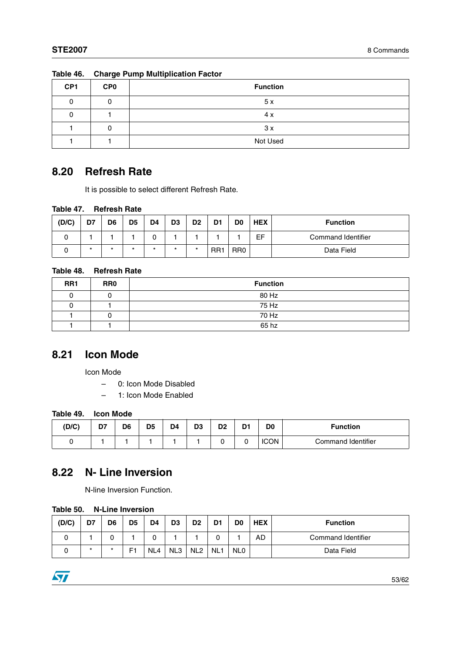| CP <sub>1</sub> | <b>CP0</b> | <b>Function</b> |
|-----------------|------------|-----------------|
| 0               |            | 5x              |
|                 |            | 4 x             |
|                 | ⌒          | 3x              |
|                 |            | Not Used        |

| Table 46. Charge Pump Multiplication Factor |  |  |  |
|---------------------------------------------|--|--|--|

## <span id="page-52-0"></span>**8.20 Refresh Rate**

It is possible to select different Refresh Rate.

#### **Table 47. Refresh Rate**

| (D/C) | D7      | D <sub>6</sub> | D <sub>5</sub> | D <sub>4</sub> | D <sub>3</sub> | D <sub>2</sub> | D <sub>1</sub>  | D <sub>0</sub>  | <b>HEX</b> | <b>Function</b>    |
|-------|---------|----------------|----------------|----------------|----------------|----------------|-----------------|-----------------|------------|--------------------|
|       |         |                |                |                |                |                |                 |                 | EF         | Command Identifier |
|       | $\star$ | $\star$        | *              | $\star$        | *              | $\star$        | RR <sub>1</sub> | RR <sub>0</sub> |            | Data Field         |

### **Table 48. Refresh Rate**

| RR <sub>1</sub> | RR <sub>0</sub> | <b>Function</b> |
|-----------------|-----------------|-----------------|
|                 |                 | 80 Hz           |
|                 |                 | 75 Hz           |
|                 |                 | 70 Hz           |
|                 |                 | 65 hz           |

## <span id="page-52-1"></span>**8.21 Icon Mode**

Icon Mode

- 0: Icon Mode Disabled
- 1: Icon Mode Enabled

#### **Table 49. Icon Mode**

| (D/C) | D7 | D <sub>6</sub> | D <sub>5</sub> | D <sub>4</sub> | n0<br>υ. | D <sub>2</sub> | - - | D <sub>0</sub> | <b>Function</b>    |
|-------|----|----------------|----------------|----------------|----------|----------------|-----|----------------|--------------------|
| ີ     |    |                |                |                |          |                |     | <b>ICON</b>    | Command Identifier |

## <span id="page-52-2"></span>**8.22 N- Line Inversion**

N-line Inversion Function.

#### **Table 50. N-Line Inversion**

| (D/C) | D7     | D <sub>6</sub> | D <sub>5</sub> | D <sub>4</sub> | D <sub>3</sub>  | D <sub>2</sub>  | D <sub>1</sub>  | D0              | <b>HEX</b> | <b>Function</b>    |
|-------|--------|----------------|----------------|----------------|-----------------|-----------------|-----------------|-----------------|------------|--------------------|
|       |        |                |                |                |                 |                 |                 |                 | AD         | Command Identifier |
| ີ     | $\ast$ | $\star$        | E1             | NL4            | NL <sub>3</sub> | NL <sub>2</sub> | NL <sub>1</sub> | NL <sub>0</sub> |            | Data Field         |

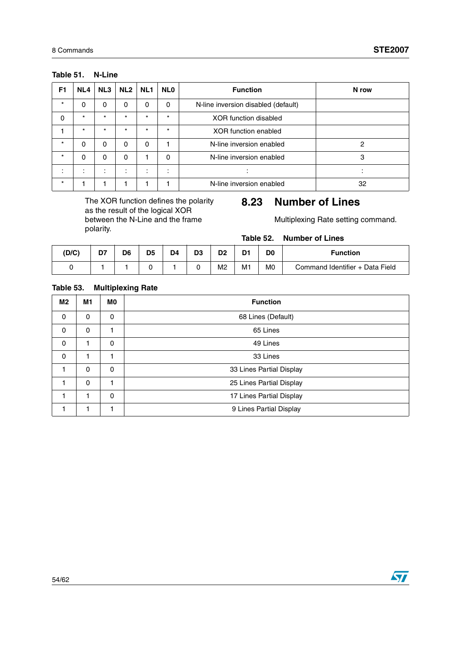| F <sub>1</sub> | NL4      | NL3                           | NL <sub>2</sub>               | NL <sub>1</sub> | <b>NLO</b> | <b>Function</b>                     | N row |
|----------------|----------|-------------------------------|-------------------------------|-----------------|------------|-------------------------------------|-------|
| $\star$        | 0        | 0                             | 0                             | 0               | 0          | N-line inversion disabled (default) |       |
| 0              | $\star$  | $\star$                       | $\star$                       | $\star$         | $\star$    | <b>XOR</b> function disabled        |       |
|                | $\star$  | $\star$                       | $\star$                       | $\star$         | $\star$    | <b>XOR</b> function enabled         |       |
| $\star$        | $\Omega$ | 0                             | 0                             | 0               |            | N-line inversion enabled            | 2     |
| $\star$        | 0        | 0                             | 0                             |                 | 0          | N-line inversion enabled            | 3     |
|                |          | ٠<br>$\overline{\phantom{a}}$ | ٠<br>$\overline{\phantom{a}}$ | ۰.              | ٠          |                                     |       |
| $\star$        |          |                               |                               |                 |            | N-line inversion enabled            | 32    |

#### **Table 51. N-Line**

The XOR function defines the polarity as the result of the logical XOR between the N-Line and the frame polarity.

## <span id="page-53-0"></span>**8.23 Number of Lines**

Multiplexing Rate setting command.

**Table 52. Number of Lines**

| (D/C) | D7 | D <sub>6</sub> | D <sub>5</sub> | D <sub>4</sub> | D <sub>3</sub> | D <sub>2</sub> | D. | D0             | <b>Function</b>                 |
|-------|----|----------------|----------------|----------------|----------------|----------------|----|----------------|---------------------------------|
|       |    |                |                |                |                | M <sub>2</sub> | M1 | M <sub>0</sub> | Command Identifier + Data Field |

#### **Table 53. Multiplexing Rate**

| M <sub>2</sub> | M <sub>1</sub> | M0 | <b>Function</b>          |
|----------------|----------------|----|--------------------------|
| 0              | 0              | 0  | 68 Lines (Default)       |
| 0              | 0              | 1  | 65 Lines                 |
| 0              |                | 0  | 49 Lines                 |
| 0              |                | 1  | 33 Lines                 |
| 1              | $\Omega$       | 0  | 33 Lines Partial Display |
| 1              | $\Omega$       | 1  | 25 Lines Partial Display |
|                | 1              | 0  | 17 Lines Partial Display |
|                |                |    | 9 Lines Partial Display  |

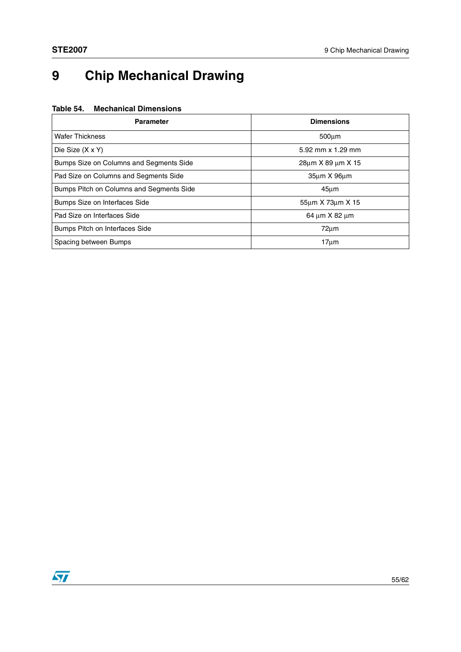# <span id="page-54-0"></span>**9 Chip Mechanical Drawing**

#### **Table 54. Mechanical Dimensions**

| <b>Parameter</b>                         | <b>Dimensions</b>          |
|------------------------------------------|----------------------------|
| <b>Wafer Thickness</b>                   | $500 \mu m$                |
| Die Size (X x Y)                         | 5.92 mm x 1.29 mm          |
| Bumps Size on Columns and Segments Side  | 28um X 89 um X 15          |
| Pad Size on Columns and Segments Side    | $35\mu m \times 96\mu m$   |
| Bumps Pitch on Columns and Segments Side | $45 \mu m$                 |
| Bumps Size on Interfaces Side            | 55um X 73um X 15           |
| Pad Size on Interfaces Side              | $64 \mu m \times 82 \mu m$ |
| Bumps Pitch on Interfaces Side           | $72 \mu m$                 |
| Spacing between Bumps                    | $17µ$ m                    |

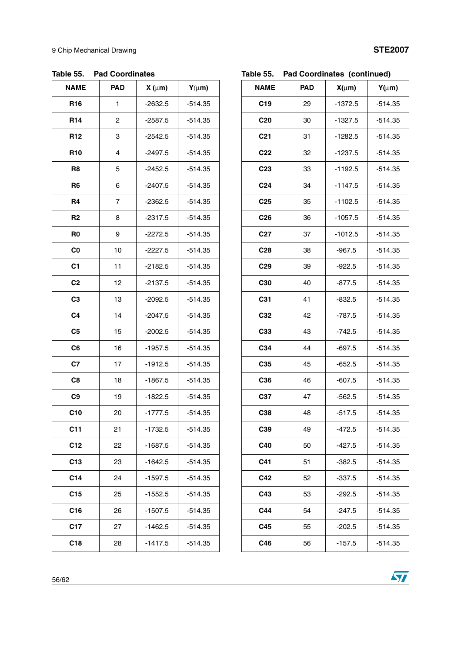| ימי יומג.       | au vuurunuus |            |            |
|-----------------|--------------|------------|------------|
| <b>NAME</b>     | <b>PAD</b>   | $X(\mu m)$ | $Y(\mu m)$ |
| R <sub>16</sub> | 1            | $-2632.5$  | $-514.35$  |
| R <sub>14</sub> | 2            | $-2587.5$  | $-514.35$  |
| R <sub>12</sub> | 3            | $-2542.5$  | $-514.35$  |
| <b>R10</b>      | 4            | $-2497.5$  | $-514.35$  |
| R <sub>8</sub>  | 5            | $-2452.5$  | $-514.35$  |
| R <sub>6</sub>  | 6            | $-2407.5$  | $-514.35$  |
| R4              | 7            | $-2362.5$  | $-514.35$  |
| R <sub>2</sub>  | 8            | $-2317.5$  | $-514.35$  |
| R <sub>0</sub>  | 9            | $-2272.5$  | $-514.35$  |
| C <sub>0</sub>  | 10           | $-2227.5$  | $-514.35$  |
| C <sub>1</sub>  | 11           | $-2182.5$  | $-514.35$  |
| C <sub>2</sub>  | 12           | $-2137.5$  | $-514.35$  |
| C <sub>3</sub>  | 13           | $-2092.5$  | $-514.35$  |
| C <sub>4</sub>  | 14           | $-2047.5$  | $-514.35$  |
| C <sub>5</sub>  | 15           | $-2002.5$  | $-514.35$  |
| C <sub>6</sub>  | 16           | $-1957.5$  | $-514.35$  |
| C7              | 17           | $-1912.5$  | $-514.35$  |
| C8              | 18           | $-1867.5$  | $-514.35$  |
| C <sub>9</sub>  | 19           | $-1822.5$  | $-514.35$  |
| C10             | 20           | $-1777.5$  | $-514.35$  |
| C <sub>11</sub> | 21           | $-1732.5$  | $-514.35$  |
| C <sub>12</sub> | 22           | $-1687.5$  | $-514.35$  |
| C13             | 23           | $-1642.5$  | $-514.35$  |
| C <sub>14</sub> | 24           | $-1597.5$  | $-514.35$  |
| C15             | 25           | $-1552.5$  | $-514.35$  |
| C <sub>16</sub> | 26           | $-1507.5$  | $-514.35$  |
| C <sub>17</sub> | 27           | $-1462.5$  | $-514.35$  |
| C <sub>18</sub> | 28           | $-1417.5$  | $-514.35$  |

### **Table 55. Pad Coordinates**

### **Table 55. Pad Coordinates (continued)**

| <b>NAME</b>     | <b>PAD</b> | $X(\mu m)$ | $Y(\mu m)$ |
|-----------------|------------|------------|------------|
| C <sub>19</sub> | 29         | $-1372.5$  | $-514.35$  |
| C <sub>20</sub> | 30         | $-1327.5$  | $-514.35$  |
| C <sub>21</sub> | 31         | $-1282.5$  | $-514.35$  |
| C <sub>22</sub> | 32         | $-1237.5$  | $-514.35$  |
| C <sub>23</sub> | 33         | $-1192.5$  | $-514.35$  |
| C <sub>24</sub> | 34         | $-1147.5$  | $-514.35$  |
| C <sub>25</sub> | 35         | $-1102.5$  | $-514.35$  |
| C <sub>26</sub> | 36         | $-1057.5$  | $-514.35$  |
| C <sub>27</sub> | 37         | $-1012.5$  | $-514.35$  |
| C <sub>28</sub> | 38         | $-967.5$   | $-514.35$  |
| C <sub>29</sub> | 39         | $-922.5$   | $-514.35$  |
| C30             | 40         | $-877.5$   | $-514.35$  |
| C <sub>31</sub> | 41         | $-832.5$   | $-514.35$  |
| C32             | 42         | $-787.5$   | $-514.35$  |
| C33             | 43         | $-742.5$   | $-514.35$  |
| C34             | 44         | $-697.5$   | $-514.35$  |
| C35             | 45         | $-652.5$   | $-514.35$  |
| C36             | 46         | $-607.5$   | $-514.35$  |
| C37             | 47         | $-562.5$   | $-514.35$  |
| C38             | 48         | $-517.5$   | $-514.35$  |
| ပ္မေဒ           | 49         | -472.5     | -514.35    |
| C40             | 50         | $-427.5$   | $-514.35$  |
| C41             | 51         | $-382.5$   | $-514.35$  |
| C42             | 52         | $-337.5$   | $-514.35$  |
| C43             | 53         | $-292.5$   | $-514.35$  |
| C44             | 54         | $-247.5$   | $-514.35$  |
| C45             | 55         | $-202.5$   | $-514.35$  |
| C46             | 56         | $-157.5$   | $-514.35$  |

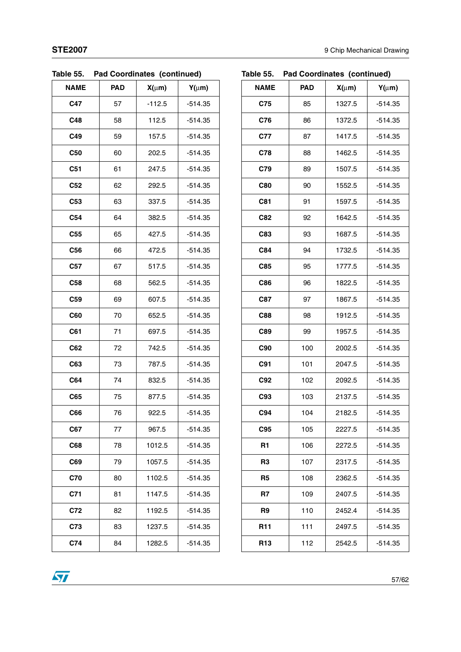| rapie oo.       | Pau Coordinates (continued) |            |            |
|-----------------|-----------------------------|------------|------------|
| <b>NAME</b>     | <b>PAD</b>                  | $X(\mu m)$ | $Y(\mu m)$ |
| C47             | 57                          | $-112.5$   | $-514.35$  |
| C48             | 58                          | 112.5      | $-514.35$  |
| C49             | 59                          | 157.5      | $-514.35$  |
| C50             | 60                          | 202.5      | $-514.35$  |
| C <sub>51</sub> | 61                          | 247.5      | $-514.35$  |
| C52             | 62                          | 292.5      | $-514.35$  |
| C53             | 63                          | 337.5      | $-514.35$  |
| C <sub>54</sub> | 64                          | 382.5      | $-514.35$  |
| C55             | 65                          | 427.5      | $-514.35$  |
| C56             | 66                          | 472.5      | $-514.35$  |
| C <sub>57</sub> | 67                          | 517.5      | $-514.35$  |
| C58             | 68                          | 562.5      | $-514.35$  |
| C59             | 69                          | 607.5      | $-514.35$  |
| C60             | 70                          | 652.5      | $-514.35$  |
| C61             | 71                          | 697.5      | $-514.35$  |
| C62             | 72                          | 742.5      | $-514.35$  |
| C63             | 73                          | 787.5      | $-514.35$  |
| C64             | 74                          | 832.5      | $-514.35$  |
| C65             | 75                          | 877.5      | $-514.35$  |
| C66             | 76                          | 922.5      | $-514.35$  |
| C67             | 77                          | 967.5      | $-514.35$  |
| C68             | 78                          | 1012.5     | $-514.35$  |
| C69             | 79                          | 1057.5     | $-514.35$  |
| <b>C70</b>      | 80                          | 1102.5     | $-514.35$  |
| C71             | 81                          | 1147.5     | $-514.35$  |
| C72             | 82                          | 1192.5     | $-514.35$  |
| C73             | 83                          | 1237.5     | $-514.35$  |
| C74             | 84                          | 1282.5     | $-514.35$  |

| <b>Pad Coordinates (continued)</b><br>Table 55. |
|-------------------------------------------------|
|-------------------------------------------------|

## **Table 55. Pad Coordinates (continued)**

| <b>NAME</b>     | <b>PAD</b> | $X(\mu m)$ | $Y(\mu m)$ |
|-----------------|------------|------------|------------|
| C75             | 85         | 1327.5     | $-514.35$  |
| C76             | 86         | 1372.5     | $-514.35$  |
| C77             | 87         | 1417.5     | $-514.35$  |
| C78             | 88         | 1462.5     | $-514.35$  |
| C79             | 89         | 1507.5     | $-514.35$  |
| C80             | 90         | 1552.5     | $-514.35$  |
| C81             | 91         | 1597.5     | $-514.35$  |
| C82             | 92         | 1642.5     | $-514.35$  |
| C83             | 93         | 1687.5     | $-514.35$  |
| C84             | 94         | 1732.5     | $-514.35$  |
| C85             | 95         | 1777.5     | $-514.35$  |
| C86             | 96         | 1822.5     | $-514.35$  |
| C87             | 97         | 1867.5     | $-514.35$  |
| C88             | 98         | 1912.5     | $-514.35$  |
| C89             | 99         | 1957.5     | $-514.35$  |
| C90             | 100        | 2002.5     | $-514.35$  |
| C91             | 101        | 2047.5     | $-514.35$  |
| C92             | 102        | 2092.5     | $-514.35$  |
| C93             | 103        | 2137.5     | $-514.35$  |
| C94             | 104        | 2182.5     | $-514.35$  |
| C95             | 105        | 2227.5     | $-514.35$  |
| R <sub>1</sub>  | 106        | 2272.5     | $-514.35$  |
| R3              | 107        | 2317.5     | $-514.35$  |
| R5              | 108        | 2362.5     | $-514.35$  |
| R7              | 109        | 2407.5     | $-514.35$  |
| R9              | 110        | 2452.4     | $-514.35$  |
| R11             | 111        | 2497.5     | $-514.35$  |
| R <sub>13</sub> | 112        | 2542.5     | $-514.35$  |

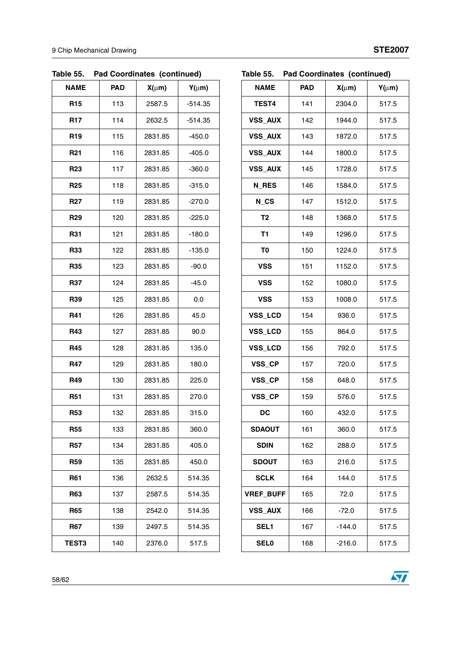| <b>NAME</b>     | <b>PAD</b> | $X(\mu m)$ | $Y(\mu m)$ |
|-----------------|------------|------------|------------|
| R <sub>15</sub> | 113        | 2587.5     | $-514.35$  |
| R <sub>17</sub> | 114        | 2632.5     | $-514.35$  |
| R <sub>19</sub> | 115        | 2831.85    | $-450.0$   |
| R <sub>21</sub> | 116        | 2831.85    | $-405.0$   |
| R <sub>23</sub> | 117        | 2831.85    | $-360.0$   |
| R <sub>25</sub> | 118        | 2831.85    | $-315.0$   |
| R <sub>27</sub> | 119        | 2831.85    | $-270.0$   |
| R <sub>29</sub> | 120        | 2831.85    | $-225.0$   |
| R31             | 121        | 2831.85    | $-180.0$   |
| R33             | 122        | 2831.85    | $-135.0$   |
| <b>R35</b>      | 123        | 2831.85    | $-90.0$    |
| R37             | 124        | 2831.85    | $-45.0$    |
| R39             | 125        | 2831.85    | 0.0        |
| R41             | 126        | 2831.85    | 45.0       |
| <b>R43</b>      | 127        | 2831.85    | 90.0       |
| R45             | 128        | 2831.85    | 135.0      |
| R47             | 129        | 2831.85    | 180.0      |
| R49             | 130        | 2831.85    | 225.0      |
| <b>R51</b>      | 131        | 2831.85    | 270.0      |
| <b>R53</b>      | 132        | 2831.85    | 315.0      |
| R55             | 133        | 2831.85    | 360.0      |
| <b>R57</b>      | 134        | 2831.85    | 405.0      |
| R59             | 135        | 2831.85    | 450.0      |
| R61             | 136        | 2632.5     | 514.35     |
| <b>R63</b>      | 137        | 2587.5     | 514.35     |
| R65             | 138        | 2542.0     | 514.35     |
| R67             | 139        | 2497.5     | 514.35     |
| <b>TEST3</b>    | 140        | 2376.0     | 517.5      |

| Table 55. | <b>Pad Coordinates (continued)</b> |  |
|-----------|------------------------------------|--|
|           |                                    |  |

**Table 55. Pad Coordinates (continued)**

| <b>NAME</b>      | <b>PAD</b> | $X(\mu m)$ | $Y(\mu m)$ |
|------------------|------------|------------|------------|
| TEST4            | 141        | 2304.0     | 517.5      |
| <b>VSS_AUX</b>   | 142        | 1944.0     | 517.5      |
| <b>VSS_AUX</b>   | 143        | 1872.0     | 517.5      |
| <b>VSS_AUX</b>   | 144        | 1800.0     | 517.5      |
| <b>VSS_AUX</b>   | 145        | 1728.0     | 517.5      |
| N_RES            | 146        | 1584.0     | 517.5      |
| N_CS             | 147        | 1512.0     | 517.5      |
| T <sub>2</sub>   | 148        | 1368.0     | 517.5      |
| T1               | 149        | 1296.0     | 517.5      |
| T <sub>0</sub>   | 150        | 1224.0     | 517.5      |
| <b>VSS</b>       | 151        | 1152.0     | 517.5      |
| <b>VSS</b>       | 152        | 1080.0     | 517.5      |
| <b>VSS</b>       | 153        | 1008.0     | 517.5      |
| VSS_LCD          | 154        | 936.0      | 517.5      |
| VSS_LCD          | 155        | 864.0      | 517.5      |
| VSS_LCD          | 156        | 792.0      | 517.5      |
| VSS_CP           | 157        | 720.0      | 517.5      |
| VSS_CP           | 158        | 648.0      | 517.5      |
| VSS_CP           | 159        | 576.0      | 517.5      |
| <b>DC</b>        | 160        | 432.0      | 517.5      |
| SDAOUT           | 161        | 360.0      | 517.5      |
| <b>SDIN</b>      | 162        | 288.0      | 517.5      |
| <b>SDOUT</b>     | 163        | 216.0      | 517.5      |
| <b>SCLK</b>      | 164        | 144.0      | 517.5      |
| <b>VREF BUFF</b> | 165        | 72.0       | 517.5      |
| <b>VSS AUX</b>   | 166        | $-72.0$    | 517.5      |
| SEL <sub>1</sub> | 167        | $-144.0$   | 517.5      |
| <b>SEL0</b>      | 168        | $-216.0$   | 517.5      |

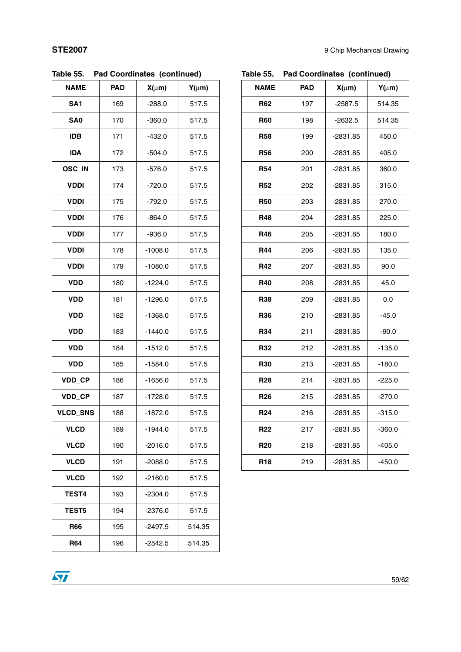| rapie po.       |            | Pad Coordinates (continued) |            |
|-----------------|------------|-----------------------------|------------|
| <b>NAME</b>     | <b>PAD</b> | $X(\mu m)$                  | $Y(\mu m)$ |
| SA <sub>1</sub> | 169        | $-288.0$                    | 517.5      |
| SA <sub>0</sub> | 170        | $-360.0$                    | 517.5      |
| <b>IDB</b>      | 171        | $-432.0$                    | 517.5      |
| <b>IDA</b>      | 172        | $-504.0$                    | 517.5      |
| OSC_IN          | 173        | $-576.0$                    | 517.5      |
| <b>VDDI</b>     | 174        | $-720.0$                    | 517.5      |
| <b>VDDI</b>     | 175        | $-792.0$                    | 517.5      |
| <b>VDDI</b>     | 176        | $-864.0$                    | 517.5      |
| <b>VDDI</b>     | 177        | $-936.0$                    | 517.5      |
| <b>VDDI</b>     | 178        | $-1008.0$                   | 517.5      |
| <b>VDDI</b>     | 179        | $-1080.0$                   | 517.5      |
| <b>VDD</b>      | 180        | $-1224.0$                   | 517.5      |
| <b>VDD</b>      | 181        | $-1296.0$                   | 517.5      |
| <b>VDD</b>      | 182        | $-1368.0$                   | 517.5      |
| <b>VDD</b>      | 183        | $-1440.0$                   | 517.5      |
| <b>VDD</b>      | 184        | $-1512.0$                   | 517.5      |
| <b>VDD</b>      | 185        | $-1584.0$                   | 517.5      |
| VDD_CP          | 186        | $-1656.0$                   | 517.5      |
| VDD_CP          | 187        | $-1728.0$                   | 517.5      |
| <b>VLCD_SNS</b> | 188        | $-1872.0$                   | 517.5      |
| <b>VLCD</b>     | 189        | $-1944.0$                   | 517.5      |
| <b>VLCD</b>     | 190        | $-2016.0$                   | 517.5      |
| <b>VLCD</b>     | 191        | -2088.0                     | 517.5      |
| <b>VLCD</b>     | 192        | $-2160.0$                   | 517.5      |
| TEST4           | 193        | $-2304.0$                   | 517.5      |
| <b>TEST5</b>    | 194        | $-2376.0$                   | 517.5      |
| R66             | 195        | $-2497.5$                   | 514.35     |
| <b>R64</b>      | 196        | $-2542.5$                   | 514.35     |

### **Table 55. Pad Coordinates (continued)**

## **Table 55. Pad Coordinates (continued)**

| NAME            | <b>PAD</b> | $X(\mu m)$ | $Y(\mu m)$ |
|-----------------|------------|------------|------------|
| <b>R62</b>      | 197        | $-2587.5$  | 514.35     |
| <b>R60</b>      | 198        | $-2632.5$  | 514.35     |
| <b>R58</b>      | 199        | -2831.85   | 450.0      |
| <b>R56</b>      | 200        | -2831.85   | 405.0      |
| <b>R54</b>      | 201        | -2831.85   | 360.0      |
| <b>R52</b>      | 202        | $-2831.85$ | 315.0      |
| <b>R50</b>      | 203        | -2831.85   | 270.0      |
| <b>R48</b>      | 204        | -2831.85   | 225.0      |
| <b>R46</b>      | 205        | -2831.85   | 180.0      |
| <b>R44</b>      | 206        | -2831.85   | 135.0      |
| <b>R42</b>      | 207        | -2831.85   | 90.0       |
| <b>R40</b>      | 208        | -2831.85   | 45.0       |
| <b>R38</b>      | 209        | -2831.85   | 0.0        |
| <b>R36</b>      | 210        | -2831.85   | $-45.0$    |
| <b>R34</b>      | 211        | -2831.85   | $-90.0$    |
| <b>R32</b>      | 212        | -2831.85   | $-135.0$   |
| <b>R30</b>      | 213        | -2831.85   | $-180.0$   |
| <b>R28</b>      | 214        | -2831.85   | $-225.0$   |
| R <sub>26</sub> | 215        | -2831.85   | $-270.0$   |
| R <sub>24</sub> | 216        | $-2831.85$ | $-315.0$   |
| <b>R22</b>      | 217        | -2831.85   | $-360.0$   |
| <b>R20</b>      | 218        | -2831.85   | $-405.0$   |
| R <sub>18</sub> | 219        | -2831.85   | $-450.0$   |

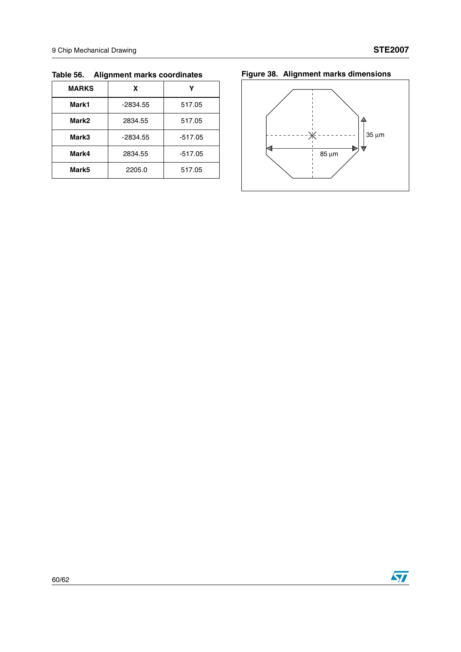| <b>MARKS</b> | X          |           |
|--------------|------------|-----------|
| Mark1        | $-2834.55$ | 517.05    |
| Mark2        | 2834.55    | 517.05    |
| Mark3        | $-2834.55$ | $-517.05$ |
| Mark4        | 2834.55    | $-517.05$ |
| Mark5        | 2205.0     | 517.05    |

**Table 56. Alignment marks coordinates Figure 38. Alignment marks dimensions**



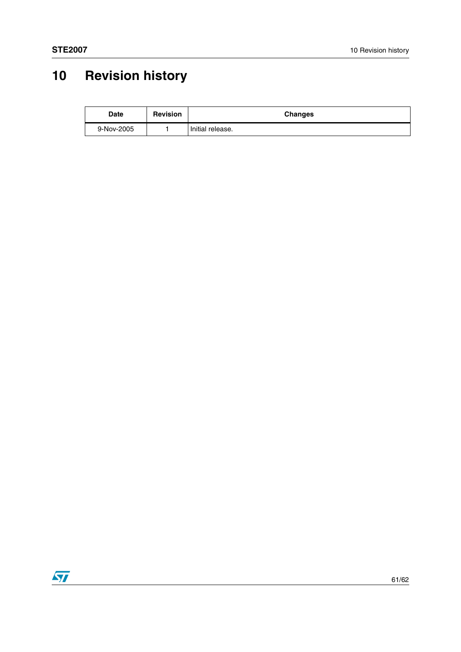# <span id="page-60-0"></span>**10 Revision history**

| Date       | <b>Revision</b> | <b>Changes</b>   |
|------------|-----------------|------------------|
| 9-Nov-2005 |                 | Initial release. |